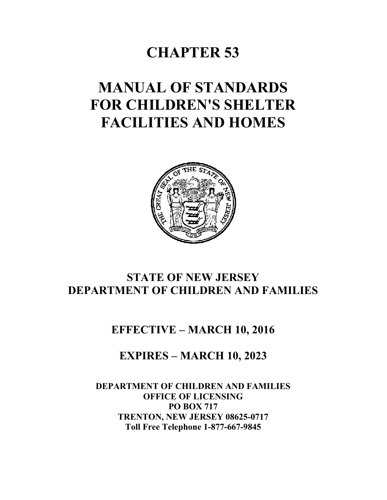# **CHAPTER 53**

# **MANUAL OF STANDARDS FOR CHILDREN'S SHELTER FACILITIES AND HOMES**



# **STATE OF NEW JERSEY DEPARTMENT OF CHILDREN AND FAMILIES**

## **EFFECTIVE – MARCH 10, 2016**

# **EXPIRES – MARCH 10, 2023**

### **DEPARTMENT OF CHILDREN AND FAMILIES OFFICE OF LICENSING PO BOX 717 TRENTON, NEW JERSEY 08625-0717 Toll Free Telephone 1-877-667-9845**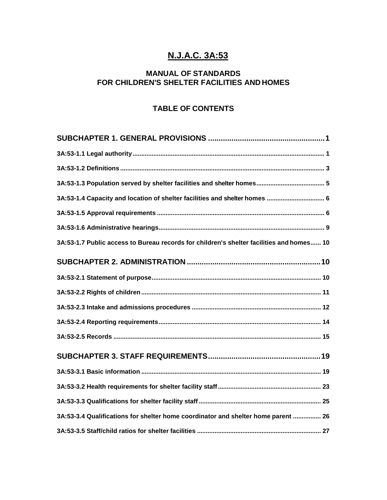### **N.J.A.C. 3A:53**

### **MANUAL OF STANDARDS FOR CHILDREN'S SHELTER FACILITIES AND HOMES**

### **TABLE OF CONTENTS**

| 3A:53-1.4 Capacity and location of shelter facilities and shelter homes  6               |
|------------------------------------------------------------------------------------------|
|                                                                                          |
|                                                                                          |
| 3A:53-1.7 Public access to Bureau records for children's shelter facilities and homes 10 |
|                                                                                          |
|                                                                                          |
|                                                                                          |
|                                                                                          |
|                                                                                          |
|                                                                                          |
|                                                                                          |
|                                                                                          |
|                                                                                          |
|                                                                                          |
| 3A:53-3.4 Qualifications for shelter home coordinator and shelter home parent  26        |
|                                                                                          |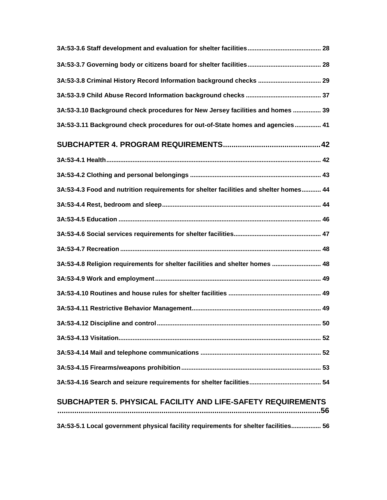| 3A:53-3.8 Criminal History Record Information background checks  29                   |
|---------------------------------------------------------------------------------------|
|                                                                                       |
| 3A:53-3.10 Background check procedures for New Jersey facilities and homes  39        |
| 3A:53-3.11 Background check procedures for out-of-State homes and agencies 41         |
|                                                                                       |
|                                                                                       |
|                                                                                       |
| 3A:53-4.3 Food and nutrition requirements for shelter facilities and shelter homes 44 |
|                                                                                       |
|                                                                                       |
|                                                                                       |
|                                                                                       |
| 3A:53-4.8 Religion requirements for shelter facilities and shelter homes  48          |
|                                                                                       |
|                                                                                       |
|                                                                                       |
|                                                                                       |
|                                                                                       |
|                                                                                       |
|                                                                                       |
|                                                                                       |
| SUBCHAPTER 5. PHYSICAL FACILITY AND LIFE-SAFETY REQUIREMENTS                          |
| 3A:53-5.1 Local government physical facility requirements for shelter facilities 56   |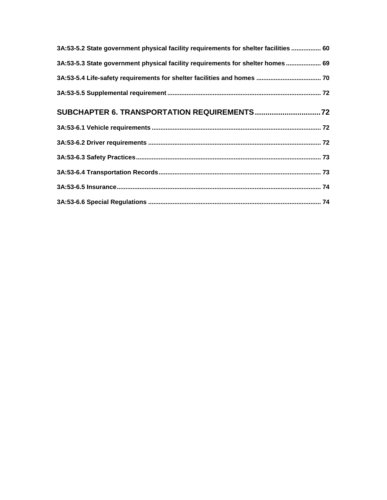| 3A:53-5.2 State government physical facility requirements for shelter facilities  60 |  |
|--------------------------------------------------------------------------------------|--|
| 3A:53-5.3 State government physical facility requirements for shelter homes  69      |  |
|                                                                                      |  |
|                                                                                      |  |
|                                                                                      |  |
|                                                                                      |  |
|                                                                                      |  |
|                                                                                      |  |
|                                                                                      |  |
|                                                                                      |  |
|                                                                                      |  |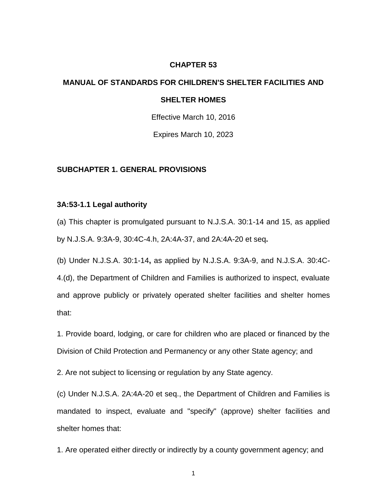#### **CHAPTER 53**

# **MANUAL OF STANDARDS FOR CHILDREN'S SHELTER FACILITIES AND SHELTER HOMES**

Effective March 10, 2016

Expires March 10, 2023

#### **SUBCHAPTER 1. GENERAL PROVISIONS**

#### **3A:53-1.1 Legal authority**

(a) This chapter is promulgated pursuant to N.J.S.A. 30:1-14 and 15, as applied by N.J.S.A. 9:3A-9, 30:4C-4.h, 2A:4A-37, and 2A:4A-20 et seq**.**

(b) Under N.J.S.A. 30:1-14**,** as applied by N.J.S.A. 9:3A-9, and N.J.S.A. 30:4C-

4.(d), the Department of Children and Families is authorized to inspect, evaluate and approve publicly or privately operated shelter facilities and shelter homes that:

1. Provide board, lodging, or care for children who are placed or financed by the Division of Child Protection and Permanency or any other State agency; and

2. Are not subject to licensing or regulation by any State agency.

(c) Under N.J.S.A. 2A:4A-20 et seq., the Department of Children and Families is mandated to inspect, evaluate and "specify" (approve) shelter facilities and shelter homes that:

1. Are operated either directly or indirectly by a county government agency; and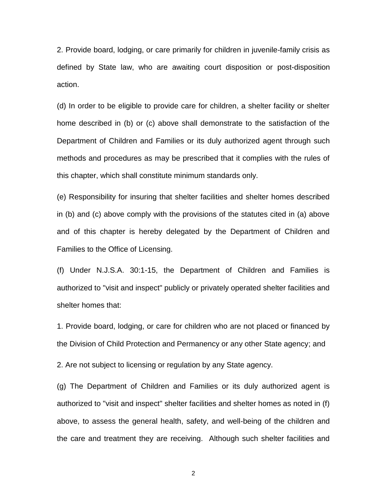2. Provide board, lodging, or care primarily for children in juvenile-family crisis as defined by State law, who are awaiting court disposition or post-disposition action.

(d) In order to be eligible to provide care for children, a shelter facility or shelter home described in (b) or (c) above shall demonstrate to the satisfaction of the Department of Children and Families or its duly authorized agent through such methods and procedures as may be prescribed that it complies with the rules of this chapter, which shall constitute minimum standards only.

(e) Responsibility for insuring that shelter facilities and shelter homes described in (b) and (c) above comply with the provisions of the statutes cited in (a) above and of this chapter is hereby delegated by the Department of Children and Families to the Office of Licensing.

(f) Under N.J.S.A. 30:1-15, the Department of Children and Families is authorized to "visit and inspect" publicly or privately operated shelter facilities and shelter homes that:

1. Provide board, lodging, or care for children who are not placed or financed by the Division of Child Protection and Permanency or any other State agency; and

2. Are not subject to licensing or regulation by any State agency.

(g) The Department of Children and Families or its duly authorized agent is authorized to "visit and inspect" shelter facilities and shelter homes as noted in (f) above, to assess the general health, safety, and well-being of the children and the care and treatment they are receiving. Although such shelter facilities and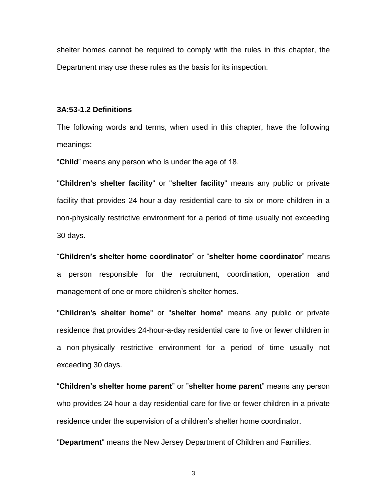shelter homes cannot be required to comply with the rules in this chapter, the Department may use these rules as the basis for its inspection.

#### **3A:53-1.2 Definitions**

The following words and terms, when used in this chapter, have the following meanings:

"**Child**" means any person who is under the age of 18.

"**Children's shelter facility**" or "**shelter facility**" means any public or private facility that provides 24-hour-a-day residential care to six or more children in a non-physically restrictive environment for a period of time usually not exceeding 30 days.

"**Children's shelter home coordinator**" or "**shelter home coordinator**" means a person responsible for the recruitment, coordination, operation and management of one or more children's shelter homes.

"**Children's shelter home**" or "**shelter home**" means any public or private residence that provides 24-hour-a-day residential care to five or fewer children in a non-physically restrictive environment for a period of time usually not exceeding 30 days.

"**Children's shelter home parent**" or "**shelter home parent**" means any person who provides 24 hour-a-day residential care for five or fewer children in a private residence under the supervision of a children's shelter home coordinator.

"**Department**" means the New Jersey Department of Children and Families.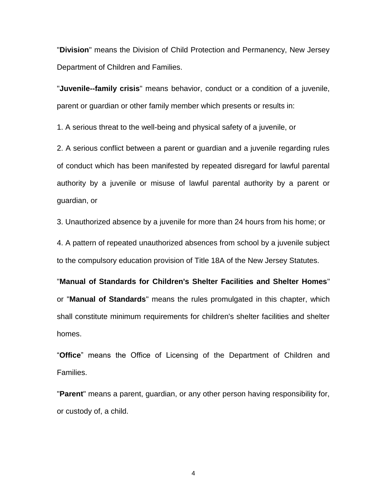"**Division**" means the Division of Child Protection and Permanency, New Jersey Department of Children and Families.

"**Juvenile--family crisis**" means behavior, conduct or a condition of a juvenile, parent or guardian or other family member which presents or results in:

1. A serious threat to the well-being and physical safety of a juvenile, or

2. A serious conflict between a parent or guardian and a juvenile regarding rules of conduct which has been manifested by repeated disregard for lawful parental authority by a juvenile or misuse of lawful parental authority by a parent or guardian, or

3. Unauthorized absence by a juvenile for more than 24 hours from his home; or

4. A pattern of repeated unauthorized absences from school by a juvenile subject to the compulsory education provision of Title 18A of the New Jersey Statutes.

"**Manual of Standards for Children's Shelter Facilities and Shelter Homes**" or "**Manual of Standards**" means the rules promulgated in this chapter, which shall constitute minimum requirements for children's shelter facilities and shelter homes.

"**Office**" means the Office of Licensing of the Department of Children and Families.

"**Parent**" means a parent, guardian, or any other person having responsibility for, or custody of, a child.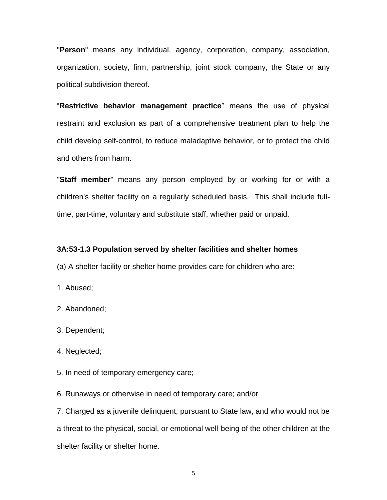"**Person**" means any individual, agency, corporation, company, association, organization, society, firm, partnership, joint stock company, the State or any political subdivision thereof.

"**Restrictive behavior management practice**" means the use of physical restraint and exclusion as part of a comprehensive treatment plan to help the child develop self-control, to reduce maladaptive behavior, or to protect the child and others from harm.

"**Staff member**" means any person employed by or working for or with a children's shelter facility on a regularly scheduled basis. This shall include fulltime, part-time, voluntary and substitute staff, whether paid or unpaid.

#### **3A:53-1.3 Population served by shelter facilities and shelter homes**

(a) A shelter facility or shelter home provides care for children who are:

1. Abused;

2. Abandoned;

3. Dependent;

4. Neglected;

5. In need of temporary emergency care;

6. Runaways or otherwise in need of temporary care; and/or

7. Charged as a juvenile delinquent, pursuant to State law, and who would not be a threat to the physical, social, or emotional well-being of the other children at the shelter facility or shelter home.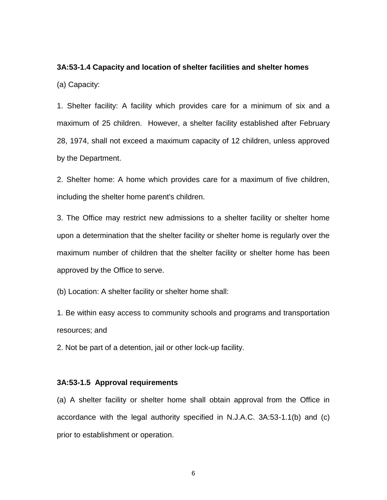### **3A:53-1.4 Capacity and location of shelter facilities and shelter homes**

(a) Capacity:

1. Shelter facility: A facility which provides care for a minimum of six and a maximum of 25 children. However, a shelter facility established after February 28, 1974, shall not exceed a maximum capacity of 12 children, unless approved by the Department.

2. Shelter home: A home which provides care for a maximum of five children, including the shelter home parent's children.

3. The Office may restrict new admissions to a shelter facility or shelter home upon a determination that the shelter facility or shelter home is regularly over the maximum number of children that the shelter facility or shelter home has been approved by the Office to serve.

(b) Location: A shelter facility or shelter home shall:

1. Be within easy access to community schools and programs and transportation resources; and

2. Not be part of a detention, jail or other lock-up facility.

#### **3A:53-1.5 Approval requirements**

(a) A shelter facility or shelter home shall obtain approval from the Office in accordance with the legal authority specified in N.J.A.C. 3A:53-1.1(b) and (c) prior to establishment or operation.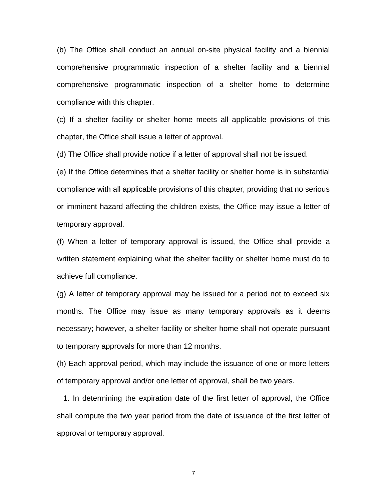(b) The Office shall conduct an annual on-site physical facility and a biennial comprehensive programmatic inspection of a shelter facility and a biennial comprehensive programmatic inspection of a shelter home to determine compliance with this chapter.

(c) If a shelter facility or shelter home meets all applicable provisions of this chapter, the Office shall issue a letter of approval.

(d) The Office shall provide notice if a letter of approval shall not be issued.

(e) If the Office determines that a shelter facility or shelter home is in substantial compliance with all applicable provisions of this chapter, providing that no serious or imminent hazard affecting the children exists, the Office may issue a letter of temporary approval.

(f) When a letter of temporary approval is issued, the Office shall provide a written statement explaining what the shelter facility or shelter home must do to achieve full compliance.

(g) A letter of temporary approval may be issued for a period not to exceed six months. The Office may issue as many temporary approvals as it deems necessary; however, a shelter facility or shelter home shall not operate pursuant to temporary approvals for more than 12 months.

(h) Each approval period, which may include the issuance of one or more letters of temporary approval and/or one letter of approval, shall be two years.

 1. In determining the expiration date of the first letter of approval, the Office shall compute the two year period from the date of issuance of the first letter of approval or temporary approval.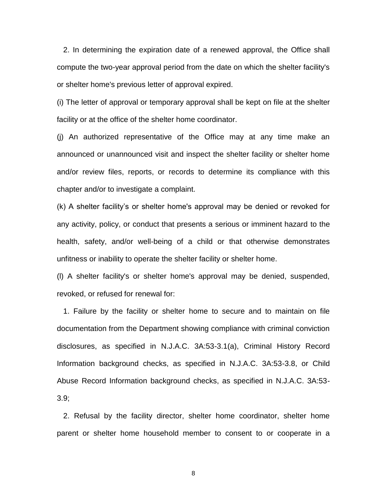2. In determining the expiration date of a renewed approval, the Office shall compute the two-year approval period from the date on which the shelter facility's or shelter home's previous letter of approval expired.

(i) The letter of approval or temporary approval shall be kept on file at the shelter facility or at the office of the shelter home coordinator.

(j) An authorized representative of the Office may at any time make an announced or unannounced visit and inspect the shelter facility or shelter home and/or review files, reports, or records to determine its compliance with this chapter and/or to investigate a complaint.

(k) A shelter facility's or shelter home's approval may be denied or revoked for any activity, policy, or conduct that presents a serious or imminent hazard to the health, safety, and/or well-being of a child or that otherwise demonstrates unfitness or inability to operate the shelter facility or shelter home.

(l) A shelter facility's or shelter home's approval may be denied, suspended, revoked, or refused for renewal for:

 1. Failure by the facility or shelter home to secure and to maintain on file documentation from the Department showing compliance with criminal conviction disclosures, as specified in N.J.A.C. 3A:53-3.1(a), Criminal History Record Information background checks, as specified in N.J.A.C. 3A:53-3.8, or Child Abuse Record Information background checks, as specified in N.J.A.C. 3A:53- 3.9;

 2. Refusal by the facility director, shelter home coordinator, shelter home parent or shelter home household member to consent to or cooperate in a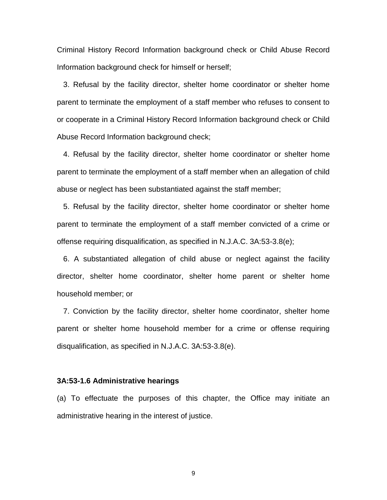Criminal History Record Information background check or Child Abuse Record Information background check for himself or herself;

 3. Refusal by the facility director, shelter home coordinator or shelter home parent to terminate the employment of a staff member who refuses to consent to or cooperate in a Criminal History Record Information background check or Child Abuse Record Information background check;

 4. Refusal by the facility director, shelter home coordinator or shelter home parent to terminate the employment of a staff member when an allegation of child abuse or neglect has been substantiated against the staff member;

 5. Refusal by the facility director, shelter home coordinator or shelter home parent to terminate the employment of a staff member convicted of a crime or offense requiring disqualification, as specified in N.J.A.C. 3A:53-3.8(e);

 6. A substantiated allegation of child abuse or neglect against the facility director, shelter home coordinator, shelter home parent or shelter home household member; or

 7. Conviction by the facility director, shelter home coordinator, shelter home parent or shelter home household member for a crime or offense requiring disqualification, as specified in N.J.A.C. 3A:53-3.8(e).

#### **3A:53-1.6 Administrative hearings**

(a) To effectuate the purposes of this chapter, the Office may initiate an administrative hearing in the interest of justice.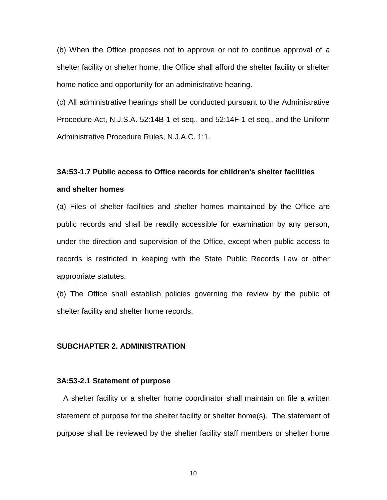(b) When the Office proposes not to approve or not to continue approval of a shelter facility or shelter home, the Office shall afford the shelter facility or shelter home notice and opportunity for an administrative hearing.

(c) All administrative hearings shall be conducted pursuant to the Administrative Procedure Act, N.J.S.A. 52:14B-1 et seq., and 52:14F-1 et seq., and the Uniform Administrative Procedure Rules, N.J.A.C. 1:1.

## **3A:53-1.7 Public access to Office records for children's shelter facilities**

#### **and shelter homes**

(a) Files of shelter facilities and shelter homes maintained by the Office are public records and shall be readily accessible for examination by any person, under the direction and supervision of the Office, except when public access to records is restricted in keeping with the State Public Records Law or other appropriate statutes.

(b) The Office shall establish policies governing the review by the public of shelter facility and shelter home records.

#### **SUBCHAPTER 2. ADMINISTRATION**

#### **3A:53-2.1 Statement of purpose**

 A shelter facility or a shelter home coordinator shall maintain on file a written statement of purpose for the shelter facility or shelter home(s). The statement of purpose shall be reviewed by the shelter facility staff members or shelter home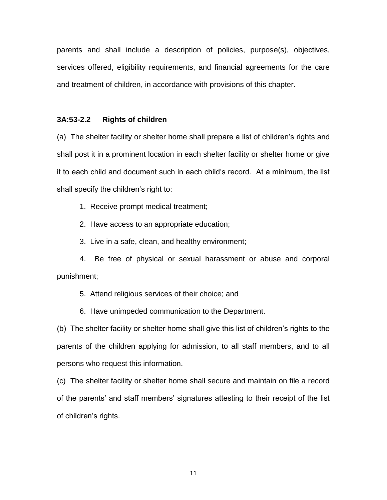parents and shall include a description of policies, purpose(s), objectives, services offered, eligibility requirements, and financial agreements for the care and treatment of children, in accordance with provisions of this chapter.

#### **3A:53-2.2 Rights of children**

(a) The shelter facility or shelter home shall prepare a list of children's rights and shall post it in a prominent location in each shelter facility or shelter home or give it to each child and document such in each child's record. At a minimum, the list shall specify the children's right to:

1. Receive prompt medical treatment;

2. Have access to an appropriate education;

3. Live in a safe, clean, and healthy environment;

4. Be free of physical or sexual harassment or abuse and corporal punishment;

5. Attend religious services of their choice; and

6. Have unimpeded communication to the Department.

(b) The shelter facility or shelter home shall give this list of children's rights to the parents of the children applying for admission, to all staff members, and to all persons who request this information.

(c) The shelter facility or shelter home shall secure and maintain on file a record of the parents' and staff members' signatures attesting to their receipt of the list of children's rights.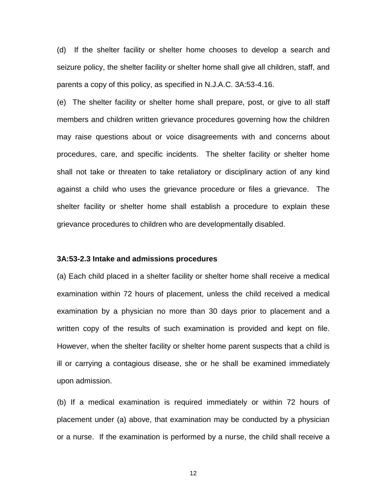(d) If the shelter facility or shelter home chooses to develop a search and seizure policy, the shelter facility or shelter home shall give all children, staff, and parents a copy of this policy, as specified in N.J.A.C. 3A:53-4.16.

(e) The shelter facility or shelter home shall prepare, post, or give to all staff members and children written grievance procedures governing how the children may raise questions about or voice disagreements with and concerns about procedures, care, and specific incidents. The shelter facility or shelter home shall not take or threaten to take retaliatory or disciplinary action of any kind against a child who uses the grievance procedure or files a grievance. The shelter facility or shelter home shall establish a procedure to explain these grievance procedures to children who are developmentally disabled.

#### **3A:53-2.3 Intake and admissions procedures**

(a) Each child placed in a shelter facility or shelter home shall receive a medical examination within 72 hours of placement, unless the child received a medical examination by a physician no more than 30 days prior to placement and a written copy of the results of such examination is provided and kept on file. However, when the shelter facility or shelter home parent suspects that a child is ill or carrying a contagious disease, she or he shall be examined immediately upon admission.

(b) If a medical examination is required immediately or within 72 hours of placement under (a) above, that examination may be conducted by a physician or a nurse. If the examination is performed by a nurse, the child shall receive a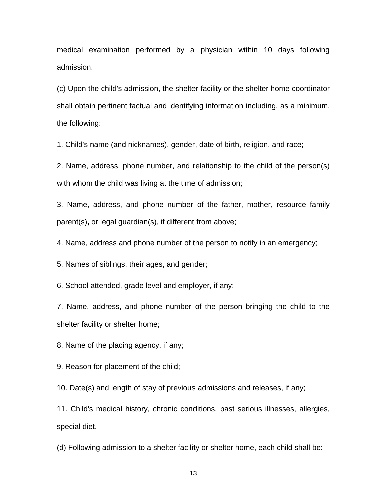medical examination performed by a physician within 10 days following admission.

(c) Upon the child's admission, the shelter facility or the shelter home coordinator shall obtain pertinent factual and identifying information including, as a minimum, the following:

1. Child's name (and nicknames), gender, date of birth, religion, and race;

2. Name, address, phone number, and relationship to the child of the person(s) with whom the child was living at the time of admission;

3. Name, address, and phone number of the father, mother, resource family parent(s)**,** or legal guardian(s), if different from above;

4. Name, address and phone number of the person to notify in an emergency;

5. Names of siblings, their ages, and gender;

6. School attended, grade level and employer, if any;

7. Name, address, and phone number of the person bringing the child to the shelter facility or shelter home;

8. Name of the placing agency, if any;

9. Reason for placement of the child;

10. Date(s) and length of stay of previous admissions and releases, if any;

11. Child's medical history, chronic conditions, past serious illnesses, allergies, special diet.

(d) Following admission to a shelter facility or shelter home, each child shall be: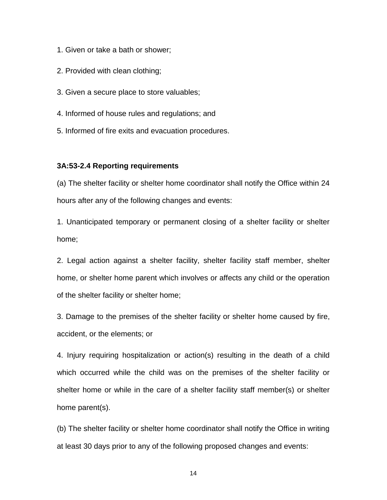- 1. Given or take a bath or shower;
- 2. Provided with clean clothing;
- 3. Given a secure place to store valuables;
- 4. Informed of house rules and regulations; and
- 5. Informed of fire exits and evacuation procedures.

#### **3A:53-2.4 Reporting requirements**

(a) The shelter facility or shelter home coordinator shall notify the Office within 24 hours after any of the following changes and events:

1. Unanticipated temporary or permanent closing of a shelter facility or shelter home;

2. Legal action against a shelter facility, shelter facility staff member, shelter home, or shelter home parent which involves or affects any child or the operation of the shelter facility or shelter home;

3. Damage to the premises of the shelter facility or shelter home caused by fire, accident, or the elements; or

4. Injury requiring hospitalization or action(s) resulting in the death of a child which occurred while the child was on the premises of the shelter facility or shelter home or while in the care of a shelter facility staff member(s) or shelter home parent(s).

(b) The shelter facility or shelter home coordinator shall notify the Office in writing at least 30 days prior to any of the following proposed changes and events: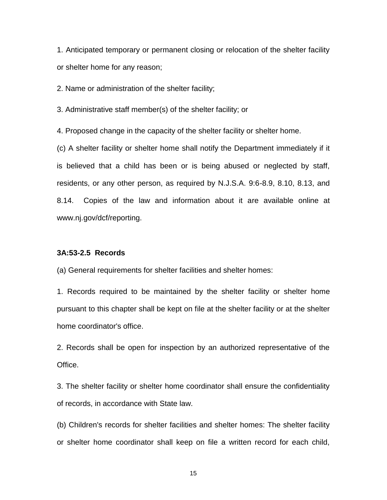1. Anticipated temporary or permanent closing or relocation of the shelter facility or shelter home for any reason;

2. Name or administration of the shelter facility;

3. Administrative staff member(s) of the shelter facility; or

4. Proposed change in the capacity of the shelter facility or shelter home.

(c) A shelter facility or shelter home shall notify the Department immediately if it is believed that a child has been or is being abused or neglected by staff, residents, or any other person, as required by N.J.S.A. 9:6-8.9, 8.10, 8.13, and 8.14. Copies of the law and information about it are available online at www.nj.gov/dcf/reporting.

#### **3A:53-2.5 Records**

(a) General requirements for shelter facilities and shelter homes:

1. Records required to be maintained by the shelter facility or shelter home pursuant to this chapter shall be kept on file at the shelter facility or at the shelter home coordinator's office.

2. Records shall be open for inspection by an authorized representative of the Office.

3. The shelter facility or shelter home coordinator shall ensure the confidentiality of records, in accordance with State law.

(b) Children's records for shelter facilities and shelter homes: The shelter facility or shelter home coordinator shall keep on file a written record for each child,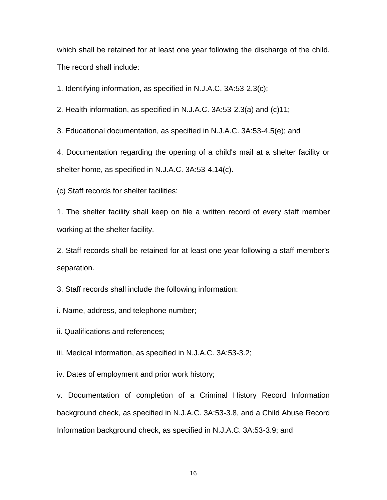which shall be retained for at least one year following the discharge of the child. The record shall include:

1. Identifying information, as specified in N.J.A.C. 3A:53-2.3(c);

2. Health information, as specified in N.J.A.C. 3A:53-2.3(a) and (c)11;

3. Educational documentation, as specified in N.J.A.C. 3A:53-4.5(e); and

4. Documentation regarding the opening of a child's mail at a shelter facility or shelter home, as specified in N.J.A.C. 3A:53-4.14(c).

(c) Staff records for shelter facilities:

1. The shelter facility shall keep on file a written record of every staff member working at the shelter facility.

2. Staff records shall be retained for at least one year following a staff member's separation.

3. Staff records shall include the following information:

i. Name, address, and telephone number;

ii. Qualifications and references;

iii. Medical information, as specified in N.J.A.C. 3A:53-3.2;

iv. Dates of employment and prior work history;

v. Documentation of completion of a Criminal History Record Information background check, as specified in N.J.A.C. 3A:53-3.8, and a Child Abuse Record Information background check, as specified in N.J.A.C. 3A:53-3.9; and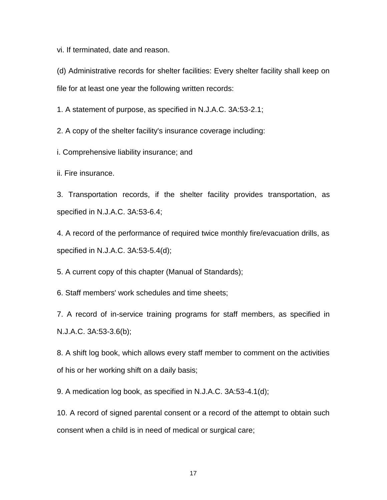vi. If terminated, date and reason.

(d) Administrative records for shelter facilities: Every shelter facility shall keep on file for at least one year the following written records:

1. A statement of purpose, as specified in N.J.A.C. 3A:53-2.1;

2. A copy of the shelter facility's insurance coverage including:

i. Comprehensive liability insurance; and

ii. Fire insurance.

3. Transportation records, if the shelter facility provides transportation, as specified in N.J.A.C. 3A:53-6.4;

4. A record of the performance of required twice monthly fire/evacuation drills, as specified in N.J.A.C. 3A:53-5.4(d);

5. A current copy of this chapter (Manual of Standards);

6. Staff members' work schedules and time sheets;

7. A record of in-service training programs for staff members, as specified in N.J.A.C. 3A:53-3.6(b);

8. A shift log book, which allows every staff member to comment on the activities of his or her working shift on a daily basis;

9. A medication log book, as specified in N.J.A.C. 3A:53-4.1(d);

10. A record of signed parental consent or a record of the attempt to obtain such consent when a child is in need of medical or surgical care;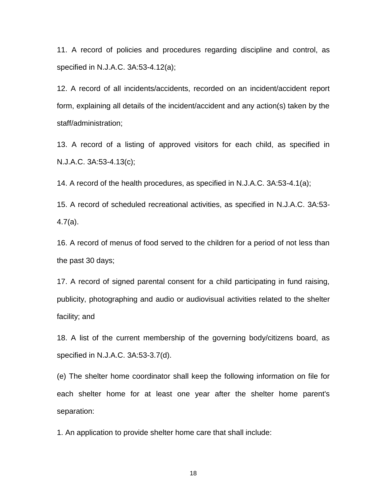11. A record of policies and procedures regarding discipline and control, as specified in N.J.A.C. 3A:53-4.12(a);

12. A record of all incidents/accidents, recorded on an incident/accident report form, explaining all details of the incident/accident and any action(s) taken by the staff/administration;

13. A record of a listing of approved visitors for each child, as specified in N.J.A.C. 3A:53-4.13(c);

14. A record of the health procedures, as specified in N.J.A.C. 3A:53-4.1(a);

15. A record of scheduled recreational activities, as specified in N.J.A.C. 3A:53- 4.7(a).

16. A record of menus of food served to the children for a period of not less than the past 30 days;

17. A record of signed parental consent for a child participating in fund raising, publicity, photographing and audio or audiovisual activities related to the shelter facility; and

18. A list of the current membership of the governing body/citizens board, as specified in N.J.A.C. 3A:53-3.7(d).

(e) The shelter home coordinator shall keep the following information on file for each shelter home for at least one year after the shelter home parent's separation:

1. An application to provide shelter home care that shall include: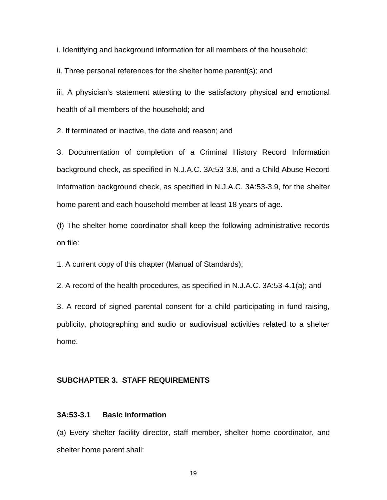i. Identifying and background information for all members of the household;

ii. Three personal references for the shelter home parent(s); and

iii. A physician's statement attesting to the satisfactory physical and emotional health of all members of the household; and

2. If terminated or inactive, the date and reason; and

3. Documentation of completion of a Criminal History Record Information background check, as specified in N.J.A.C. 3A:53-3.8, and a Child Abuse Record Information background check, as specified in N.J.A.C. 3A:53-3.9, for the shelter home parent and each household member at least 18 years of age.

(f) The shelter home coordinator shall keep the following administrative records on file:

1. A current copy of this chapter (Manual of Standards);

2. A record of the health procedures, as specified in N.J.A.C. 3A:53-4.1(a); and

3. A record of signed parental consent for a child participating in fund raising, publicity, photographing and audio or audiovisual activities related to a shelter home.

#### **SUBCHAPTER 3. STAFF REQUIREMENTS**

#### **3A:53-3.1 Basic information**

(a) Every shelter facility director, staff member, shelter home coordinator, and shelter home parent shall: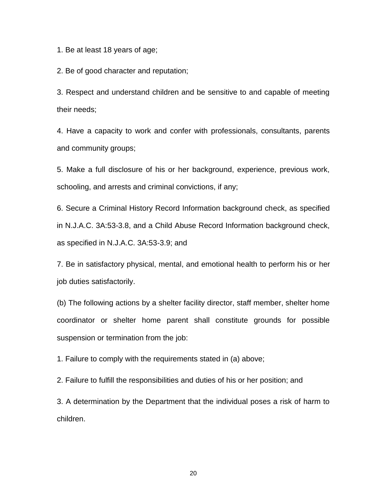1. Be at least 18 years of age;

2. Be of good character and reputation;

3. Respect and understand children and be sensitive to and capable of meeting their needs;

4. Have a capacity to work and confer with professionals, consultants, parents and community groups;

5. Make a full disclosure of his or her background, experience, previous work, schooling, and arrests and criminal convictions, if any;

6. Secure a Criminal History Record Information background check, as specified in N.J.A.C. 3A:53-3.8, and a Child Abuse Record Information background check, as specified in N.J.A.C. 3A:53-3.9; and

7. Be in satisfactory physical, mental, and emotional health to perform his or her job duties satisfactorily.

(b) The following actions by a shelter facility director, staff member, shelter home coordinator or shelter home parent shall constitute grounds for possible suspension or termination from the job:

1. Failure to comply with the requirements stated in (a) above;

2. Failure to fulfill the responsibilities and duties of his or her position; and

3. A determination by the Department that the individual poses a risk of harm to children.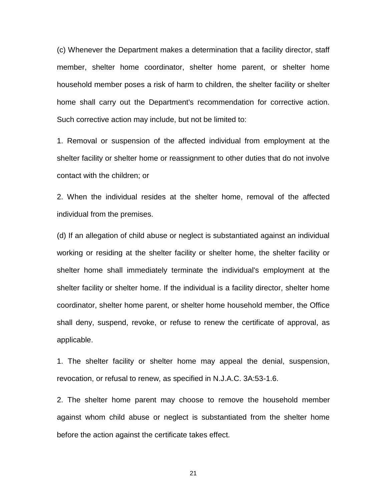(c) Whenever the Department makes a determination that a facility director, staff member, shelter home coordinator, shelter home parent, or shelter home household member poses a risk of harm to children, the shelter facility or shelter home shall carry out the Department's recommendation for corrective action. Such corrective action may include, but not be limited to:

1. Removal or suspension of the affected individual from employment at the shelter facility or shelter home or reassignment to other duties that do not involve contact with the children; or

2. When the individual resides at the shelter home, removal of the affected individual from the premises.

(d) If an allegation of child abuse or neglect is substantiated against an individual working or residing at the shelter facility or shelter home, the shelter facility or shelter home shall immediately terminate the individual's employment at the shelter facility or shelter home. If the individual is a facility director, shelter home coordinator, shelter home parent, or shelter home household member, the Office shall deny, suspend, revoke, or refuse to renew the certificate of approval, as applicable.

1. The shelter facility or shelter home may appeal the denial, suspension, revocation, or refusal to renew, as specified in N.J.A.C. 3A:53-1.6.

2. The shelter home parent may choose to remove the household member against whom child abuse or neglect is substantiated from the shelter home before the action against the certificate takes effect.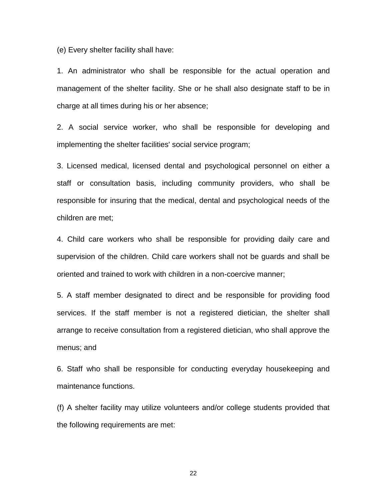(e) Every shelter facility shall have:

1. An administrator who shall be responsible for the actual operation and management of the shelter facility. She or he shall also designate staff to be in charge at all times during his or her absence;

2. A social service worker, who shall be responsible for developing and implementing the shelter facilities' social service program;

3. Licensed medical, licensed dental and psychological personnel on either a staff or consultation basis, including community providers, who shall be responsible for insuring that the medical, dental and psychological needs of the children are met;

4. Child care workers who shall be responsible for providing daily care and supervision of the children. Child care workers shall not be guards and shall be oriented and trained to work with children in a non-coercive manner;

5. A staff member designated to direct and be responsible for providing food services. If the staff member is not a registered dietician, the shelter shall arrange to receive consultation from a registered dietician, who shall approve the menus; and

6. Staff who shall be responsible for conducting everyday housekeeping and maintenance functions.

(f) A shelter facility may utilize volunteers and/or college students provided that the following requirements are met: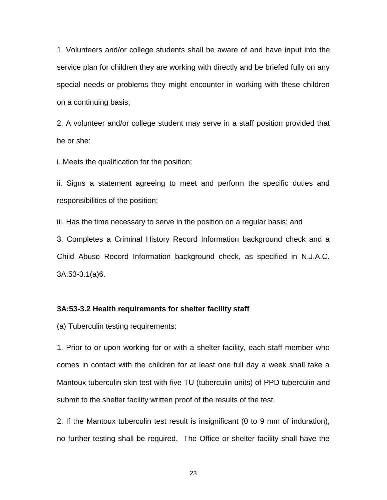1. Volunteers and/or college students shall be aware of and have input into the service plan for children they are working with directly and be briefed fully on any special needs or problems they might encounter in working with these children on a continuing basis;

2. A volunteer and/or college student may serve in a staff position provided that he or she:

i. Meets the qualification for the position;

ii. Signs a statement agreeing to meet and perform the specific duties and responsibilities of the position;

iii. Has the time necessary to serve in the position on a regular basis; and

3. Completes a Criminal History Record Information background check and a Child Abuse Record Information background check, as specified in N.J.A.C. 3A:53-3.1(a)6.

#### **3A:53-3.2 Health requirements for shelter facility staff**

(a) Tuberculin testing requirements:

1. Prior to or upon working for or with a shelter facility, each staff member who comes in contact with the children for at least one full day a week shall take a Mantoux tuberculin skin test with five TU (tuberculin units) of PPD tuberculin and submit to the shelter facility written proof of the results of the test.

2. If the Mantoux tuberculin test result is insignificant (0 to 9 mm of induration), no further testing shall be required. The Office or shelter facility shall have the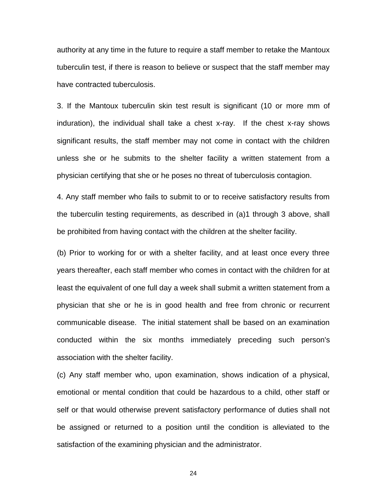authority at any time in the future to require a staff member to retake the Mantoux tuberculin test, if there is reason to believe or suspect that the staff member may have contracted tuberculosis.

3. If the Mantoux tuberculin skin test result is significant (10 or more mm of induration), the individual shall take a chest x-ray. If the chest x-ray shows significant results, the staff member may not come in contact with the children unless she or he submits to the shelter facility a written statement from a physician certifying that she or he poses no threat of tuberculosis contagion.

4. Any staff member who fails to submit to or to receive satisfactory results from the tuberculin testing requirements, as described in (a)1 through 3 above, shall be prohibited from having contact with the children at the shelter facility.

(b) Prior to working for or with a shelter facility, and at least once every three years thereafter, each staff member who comes in contact with the children for at least the equivalent of one full day a week shall submit a written statement from a physician that she or he is in good health and free from chronic or recurrent communicable disease. The initial statement shall be based on an examination conducted within the six months immediately preceding such person's association with the shelter facility.

(c) Any staff member who, upon examination, shows indication of a physical, emotional or mental condition that could be hazardous to a child, other staff or self or that would otherwise prevent satisfactory performance of duties shall not be assigned or returned to a position until the condition is alleviated to the satisfaction of the examining physician and the administrator.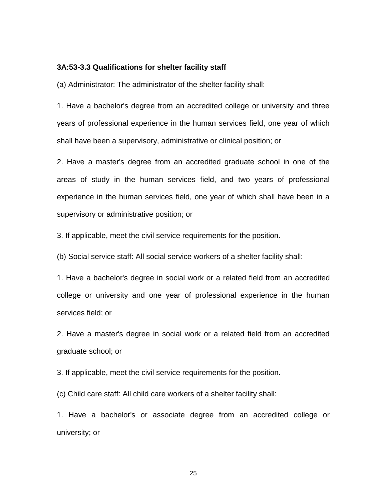#### **3A:53-3.3 Qualifications for shelter facility staff**

(a) Administrator: The administrator of the shelter facility shall:

1. Have a bachelor's degree from an accredited college or university and three years of professional experience in the human services field, one year of which shall have been a supervisory, administrative or clinical position; or

2. Have a master's degree from an accredited graduate school in one of the areas of study in the human services field, and two years of professional experience in the human services field, one year of which shall have been in a supervisory or administrative position; or

3. If applicable, meet the civil service requirements for the position.

(b) Social service staff: All social service workers of a shelter facility shall:

1. Have a bachelor's degree in social work or a related field from an accredited college or university and one year of professional experience in the human services field; or

2. Have a master's degree in social work or a related field from an accredited graduate school; or

3. If applicable, meet the civil service requirements for the position.

(c) Child care staff: All child care workers of a shelter facility shall:

1. Have a bachelor's or associate degree from an accredited college or university; or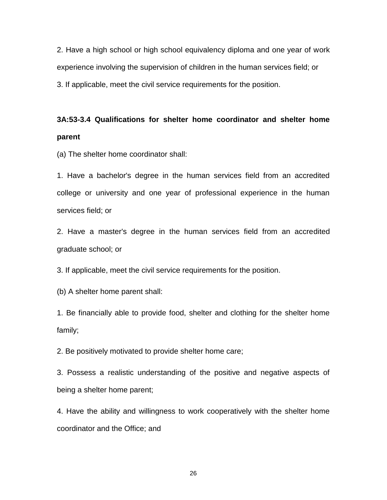2. Have a high school or high school equivalency diploma and one year of work experience involving the supervision of children in the human services field; or 3. If applicable, meet the civil service requirements for the position.

# **3A:53-3.4 Qualifications for shelter home coordinator and shelter home parent**

(a) The shelter home coordinator shall:

1. Have a bachelor's degree in the human services field from an accredited college or university and one year of professional experience in the human services field; or

2. Have a master's degree in the human services field from an accredited graduate school; or

3. If applicable, meet the civil service requirements for the position.

(b) A shelter home parent shall:

1. Be financially able to provide food, shelter and clothing for the shelter home family;

2. Be positively motivated to provide shelter home care;

3. Possess a realistic understanding of the positive and negative aspects of being a shelter home parent;

4. Have the ability and willingness to work cooperatively with the shelter home coordinator and the Office; and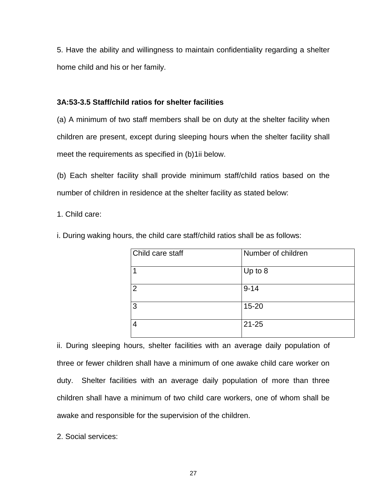5. Have the ability and willingness to maintain confidentiality regarding a shelter home child and his or her family.

### **3A:53-3.5 Staff/child ratios for shelter facilities**

(a) A minimum of two staff members shall be on duty at the shelter facility when children are present, except during sleeping hours when the shelter facility shall meet the requirements as specified in (b)1ii below.

(b) Each shelter facility shall provide minimum staff/child ratios based on the number of children in residence at the shelter facility as stated below:

1. Child care:

i. During waking hours, the child care staff/child ratios shall be as follows:

| Child care staff | Number of children |
|------------------|--------------------|
|                  | Up to 8            |
| $\overline{2}$   | $9 - 14$           |
| 3                | $15 - 20$          |
| 4                | $21 - 25$          |

ii. During sleeping hours, shelter facilities with an average daily population of three or fewer children shall have a minimum of one awake child care worker on duty. Shelter facilities with an average daily population of more than three children shall have a minimum of two child care workers, one of whom shall be awake and responsible for the supervision of the children.

2. Social services: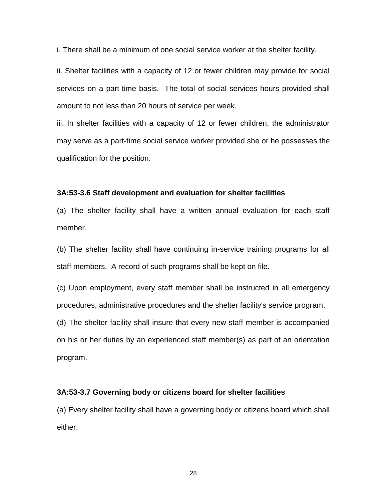i. There shall be a minimum of one social service worker at the shelter facility.

ii. Shelter facilities with a capacity of 12 or fewer children may provide for social services on a part-time basis. The total of social services hours provided shall amount to not less than 20 hours of service per week.

iii. In shelter facilities with a capacity of 12 or fewer children, the administrator may serve as a part-time social service worker provided she or he possesses the qualification for the position.

#### **3A:53-3.6 Staff development and evaluation for shelter facilities**

(a) The shelter facility shall have a written annual evaluation for each staff member.

(b) The shelter facility shall have continuing in-service training programs for all staff members. A record of such programs shall be kept on file.

(c) Upon employment, every staff member shall be instructed in all emergency procedures, administrative procedures and the shelter facility's service program.

(d) The shelter facility shall insure that every new staff member is accompanied on his or her duties by an experienced staff member(s) as part of an orientation program.

#### **3A:53-3.7 Governing body or citizens board for shelter facilities**

(a) Every shelter facility shall have a governing body or citizens board which shall either: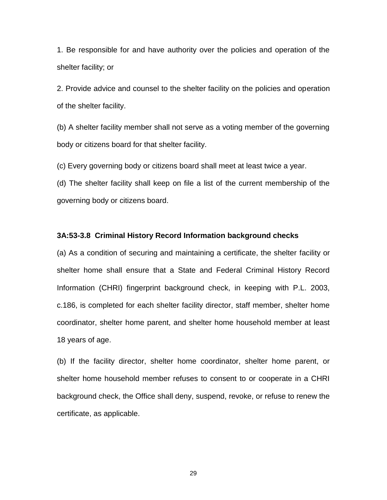1. Be responsible for and have authority over the policies and operation of the shelter facility; or

2. Provide advice and counsel to the shelter facility on the policies and operation of the shelter facility.

(b) A shelter facility member shall not serve as a voting member of the governing body or citizens board for that shelter facility.

(c) Every governing body or citizens board shall meet at least twice a year.

(d) The shelter facility shall keep on file a list of the current membership of the governing body or citizens board.

#### **3A:53-3.8 Criminal History Record Information background checks**

(a) As a condition of securing and maintaining a certificate, the shelter facility or shelter home shall ensure that a State and Federal Criminal History Record Information (CHRI) fingerprint background check, in keeping with P.L. 2003, c.186, is completed for each shelter facility director, staff member, shelter home coordinator, shelter home parent, and shelter home household member at least 18 years of age.

(b) If the facility director, shelter home coordinator, shelter home parent, or shelter home household member refuses to consent to or cooperate in a CHRI background check, the Office shall deny, suspend, revoke, or refuse to renew the certificate, as applicable.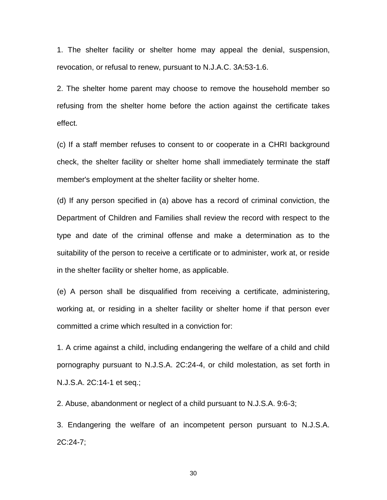1. The shelter facility or shelter home may appeal the denial, suspension, revocation, or refusal to renew, pursuant to N.J.A.C. 3A:53-1.6.

2. The shelter home parent may choose to remove the household member so refusing from the shelter home before the action against the certificate takes effect.

(c) If a staff member refuses to consent to or cooperate in a CHRI background check, the shelter facility or shelter home shall immediately terminate the staff member's employment at the shelter facility or shelter home.

(d) If any person specified in (a) above has a record of criminal conviction, the Department of Children and Families shall review the record with respect to the type and date of the criminal offense and make a determination as to the suitability of the person to receive a certificate or to administer, work at, or reside in the shelter facility or shelter home, as applicable.

(e) A person shall be disqualified from receiving a certificate, administering, working at, or residing in a shelter facility or shelter home if that person ever committed a crime which resulted in a conviction for:

1. A crime against a child, including endangering the welfare of a child and child pornography pursuant to N.J.S.A. 2C:24-4, or child molestation, as set forth in N.J.S.A. 2C:14-1 et seq.;

2. Abuse, abandonment or neglect of a child pursuant to N.J.S.A. 9:6-3;

3. Endangering the welfare of an incompetent person pursuant to N.J.S.A. 2C:24-7;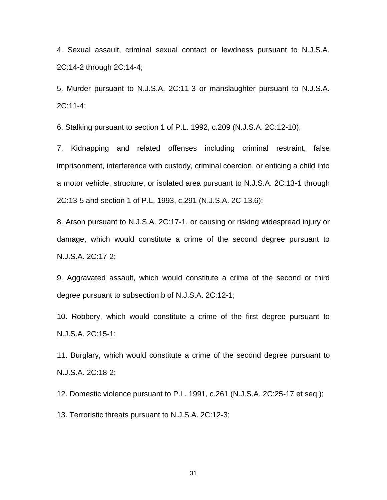4. Sexual assault, criminal sexual contact or lewdness pursuant to N.J.S.A. 2C:14-2 through 2C:14-4;

5. Murder pursuant to N.J.S.A. 2C:11-3 or manslaughter pursuant to N.J.S.A. 2C:11-4;

6. Stalking pursuant to section 1 of P.L. 1992, c.209 (N.J.S.A. 2C:12-10);

7. Kidnapping and related offenses including criminal restraint, false imprisonment, interference with custody, criminal coercion, or enticing a child into a motor vehicle, structure, or isolated area pursuant to N.J.S.A. 2C:13-1 through 2C:13-5 and section 1 of P.L. 1993, c.291 (N.J.S.A. 2C-13.6);

8. Arson pursuant to N.J.S.A. 2C:17-1, or causing or risking widespread injury or damage, which would constitute a crime of the second degree pursuant to N.J.S.A. 2C:17-2;

9. Aggravated assault, which would constitute a crime of the second or third degree pursuant to subsection b of N.J.S.A. 2C:12-1;

10. Robbery, which would constitute a crime of the first degree pursuant to N.J.S.A. 2C:15-1;

11. Burglary, which would constitute a crime of the second degree pursuant to N.J.S.A. 2C:18-2;

12. Domestic violence pursuant to P.L. 1991, c.261 (N.J.S.A. 2C:25-17 et seq.);

13. Terroristic threats pursuant to N.J.S.A. 2C:12-3;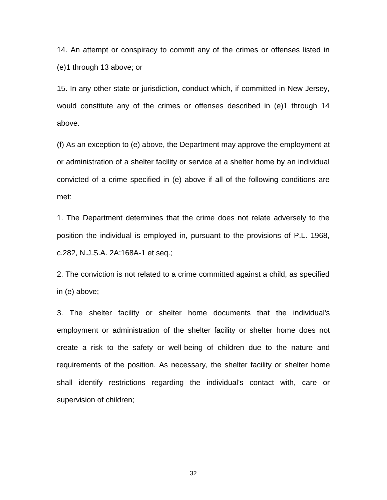14. An attempt or conspiracy to commit any of the crimes or offenses listed in (e)1 through 13 above; or

15. In any other state or jurisdiction, conduct which, if committed in New Jersey, would constitute any of the crimes or offenses described in (e)1 through 14 above.

(f) As an exception to (e) above, the Department may approve the employment at or administration of a shelter facility or service at a shelter home by an individual convicted of a crime specified in (e) above if all of the following conditions are met:

1. The Department determines that the crime does not relate adversely to the position the individual is employed in, pursuant to the provisions of P.L. 1968, c.282, N.J.S.A. 2A:168A-1 et seq.;

2. The conviction is not related to a crime committed against a child, as specified in (e) above;

3. The shelter facility or shelter home documents that the individual's employment or administration of the shelter facility or shelter home does not create a risk to the safety or well-being of children due to the nature and requirements of the position. As necessary, the shelter facility or shelter home shall identify restrictions regarding the individual's contact with, care or supervision of children;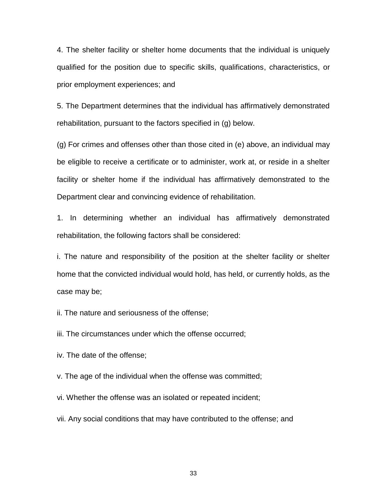4. The shelter facility or shelter home documents that the individual is uniquely qualified for the position due to specific skills, qualifications, characteristics, or prior employment experiences; and

5. The Department determines that the individual has affirmatively demonstrated rehabilitation, pursuant to the factors specified in (g) below.

(g) For crimes and offenses other than those cited in (e) above, an individual may be eligible to receive a certificate or to administer, work at, or reside in a shelter facility or shelter home if the individual has affirmatively demonstrated to the Department clear and convincing evidence of rehabilitation.

1. In determining whether an individual has affirmatively demonstrated rehabilitation, the following factors shall be considered:

i. The nature and responsibility of the position at the shelter facility or shelter home that the convicted individual would hold, has held, or currently holds, as the case may be;

ii. The nature and seriousness of the offense;

iii. The circumstances under which the offense occurred;

iv. The date of the offense;

v. The age of the individual when the offense was committed;

vi. Whether the offense was an isolated or repeated incident;

vii. Any social conditions that may have contributed to the offense; and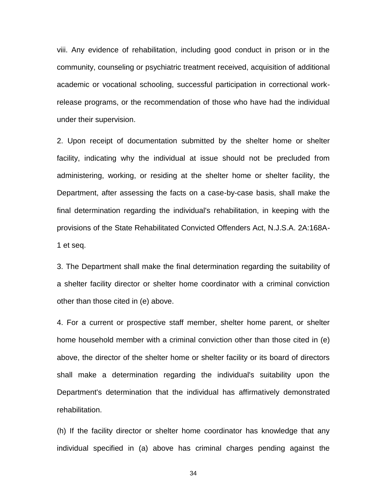viii. Any evidence of rehabilitation, including good conduct in prison or in the community, counseling or psychiatric treatment received, acquisition of additional academic or vocational schooling, successful participation in correctional workrelease programs, or the recommendation of those who have had the individual under their supervision.

2. Upon receipt of documentation submitted by the shelter home or shelter facility, indicating why the individual at issue should not be precluded from administering, working, or residing at the shelter home or shelter facility, the Department, after assessing the facts on a case-by-case basis, shall make the final determination regarding the individual's rehabilitation, in keeping with the provisions of the State Rehabilitated Convicted Offenders Act, N.J.S.A. 2A:168A-1 et seq.

3. The Department shall make the final determination regarding the suitability of a shelter facility director or shelter home coordinator with a criminal conviction other than those cited in (e) above.

4. For a current or prospective staff member, shelter home parent, or shelter home household member with a criminal conviction other than those cited in (e) above, the director of the shelter home or shelter facility or its board of directors shall make a determination regarding the individual's suitability upon the Department's determination that the individual has affirmatively demonstrated rehabilitation.

(h) If the facility director or shelter home coordinator has knowledge that any individual specified in (a) above has criminal charges pending against the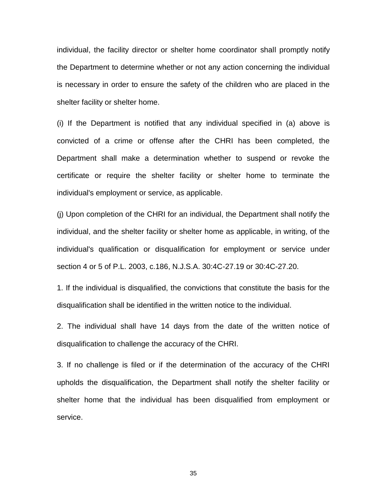individual, the facility director or shelter home coordinator shall promptly notify the Department to determine whether or not any action concerning the individual is necessary in order to ensure the safety of the children who are placed in the shelter facility or shelter home.

(i) If the Department is notified that any individual specified in (a) above is convicted of a crime or offense after the CHRI has been completed, the Department shall make a determination whether to suspend or revoke the certificate or require the shelter facility or shelter home to terminate the individual's employment or service, as applicable.

(j) Upon completion of the CHRI for an individual, the Department shall notify the individual, and the shelter facility or shelter home as applicable, in writing, of the individual's qualification or disqualification for employment or service under section 4 or 5 of P.L. 2003, c.186, N.J.S.A. 30:4C-27.19 or 30:4C-27.20.

1. If the individual is disqualified, the convictions that constitute the basis for the disqualification shall be identified in the written notice to the individual.

2. The individual shall have 14 days from the date of the written notice of disqualification to challenge the accuracy of the CHRI.

3. If no challenge is filed or if the determination of the accuracy of the CHRI upholds the disqualification, the Department shall notify the shelter facility or shelter home that the individual has been disqualified from employment or service.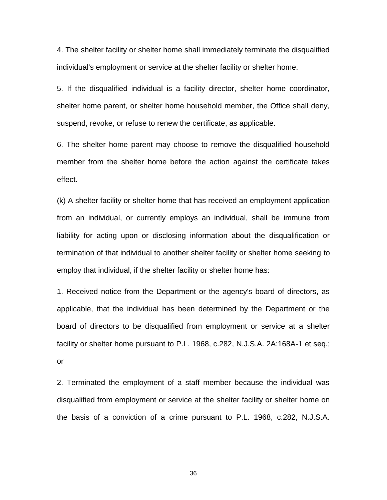4. The shelter facility or shelter home shall immediately terminate the disqualified individual's employment or service at the shelter facility or shelter home.

5. If the disqualified individual is a facility director, shelter home coordinator, shelter home parent, or shelter home household member, the Office shall deny, suspend, revoke, or refuse to renew the certificate, as applicable.

6. The shelter home parent may choose to remove the disqualified household member from the shelter home before the action against the certificate takes effect.

(k) A shelter facility or shelter home that has received an employment application from an individual, or currently employs an individual, shall be immune from liability for acting upon or disclosing information about the disqualification or termination of that individual to another shelter facility or shelter home seeking to employ that individual, if the shelter facility or shelter home has:

1. Received notice from the Department or the agency's board of directors, as applicable, that the individual has been determined by the Department or the board of directors to be disqualified from employment or service at a shelter facility or shelter home pursuant to P.L. 1968, c.282, N.J.S.A. 2A:168A-1 et seq.; or

2. Terminated the employment of a staff member because the individual was disqualified from employment or service at the shelter facility or shelter home on the basis of a conviction of a crime pursuant to P.L. 1968, c.282, N.J.S.A.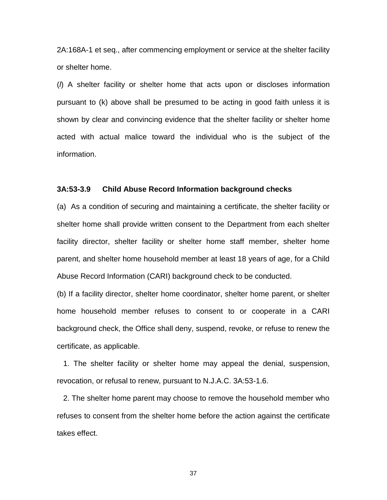2A:168A-1 et seq., after commencing employment or service at the shelter facility or shelter home.

(*l*) A shelter facility or shelter home that acts upon or discloses information pursuant to (k) above shall be presumed to be acting in good faith unless it is shown by clear and convincing evidence that the shelter facility or shelter home acted with actual malice toward the individual who is the subject of the information.

#### **3A:53-3.9 Child Abuse Record Information background checks**

(a) As a condition of securing and maintaining a certificate, the shelter facility or shelter home shall provide written consent to the Department from each shelter facility director, shelter facility or shelter home staff member, shelter home parent, and shelter home household member at least 18 years of age, for a Child Abuse Record Information (CARI) background check to be conducted.

(b) If a facility director, shelter home coordinator, shelter home parent, or shelter home household member refuses to consent to or cooperate in a CARI background check, the Office shall deny, suspend, revoke, or refuse to renew the certificate, as applicable.

 1. The shelter facility or shelter home may appeal the denial, suspension, revocation, or refusal to renew, pursuant to N.J.A.C. 3A:53-1.6.

 2. The shelter home parent may choose to remove the household member who refuses to consent from the shelter home before the action against the certificate takes effect.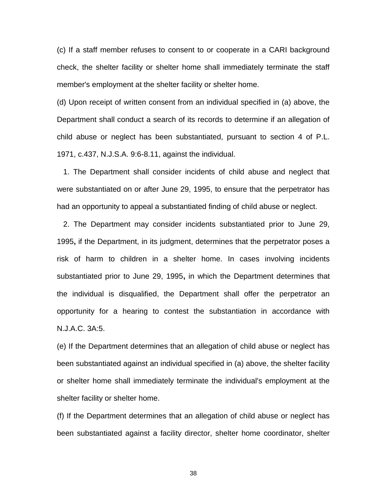(c) If a staff member refuses to consent to or cooperate in a CARI background check, the shelter facility or shelter home shall immediately terminate the staff member's employment at the shelter facility or shelter home.

(d) Upon receipt of written consent from an individual specified in (a) above, the Department shall conduct a search of its records to determine if an allegation of child abuse or neglect has been substantiated, pursuant to section 4 of P.L. 1971, c.437, N.J.S.A. 9:6-8.11, against the individual.

 1. The Department shall consider incidents of child abuse and neglect that were substantiated on or after June 29, 1995, to ensure that the perpetrator has had an opportunity to appeal a substantiated finding of child abuse or neglect.

 2. The Department may consider incidents substantiated prior to June 29, 1995**,** if the Department, in its judgment, determines that the perpetrator poses a risk of harm to children in a shelter home. In cases involving incidents substantiated prior to June 29, 1995**,** in which the Department determines that the individual is disqualified, the Department shall offer the perpetrator an opportunity for a hearing to contest the substantiation in accordance with N.J.A.C. 3A:5.

(e) If the Department determines that an allegation of child abuse or neglect has been substantiated against an individual specified in (a) above, the shelter facility or shelter home shall immediately terminate the individual's employment at the shelter facility or shelter home.

(f) If the Department determines that an allegation of child abuse or neglect has been substantiated against a facility director, shelter home coordinator, shelter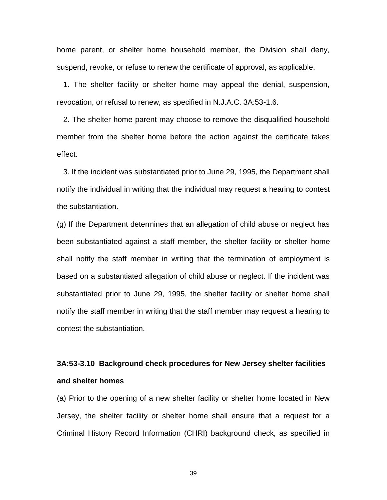home parent, or shelter home household member, the Division shall deny, suspend, revoke, or refuse to renew the certificate of approval, as applicable.

 1. The shelter facility or shelter home may appeal the denial, suspension, revocation, or refusal to renew, as specified in N.J.A.C. 3A:53-1.6.

 2. The shelter home parent may choose to remove the disqualified household member from the shelter home before the action against the certificate takes effect.

 3. If the incident was substantiated prior to June 29, 1995, the Department shall notify the individual in writing that the individual may request a hearing to contest the substantiation.

(g) If the Department determines that an allegation of child abuse or neglect has been substantiated against a staff member, the shelter facility or shelter home shall notify the staff member in writing that the termination of employment is based on a substantiated allegation of child abuse or neglect. If the incident was substantiated prior to June 29, 1995, the shelter facility or shelter home shall notify the staff member in writing that the staff member may request a hearing to contest the substantiation.

## **3A:53-3.10 Background check procedures for New Jersey shelter facilities and shelter homes**

(a) Prior to the opening of a new shelter facility or shelter home located in New Jersey, the shelter facility or shelter home shall ensure that a request for a Criminal History Record Information (CHRI) background check, as specified in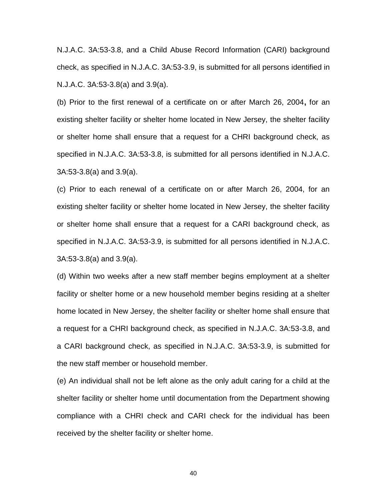N.J.A.C. 3A:53-3.8, and a Child Abuse Record Information (CARI) background check, as specified in N.J.A.C. 3A:53-3.9, is submitted for all persons identified in N.J.A.C. 3A:53-3.8(a) and 3.9(a).

(b) Prior to the first renewal of a certificate on or after March 26, 2004**,** for an existing shelter facility or shelter home located in New Jersey, the shelter facility or shelter home shall ensure that a request for a CHRI background check, as specified in N.J.A.C. 3A:53-3.8, is submitted for all persons identified in N.J.A.C. 3A:53-3.8(a) and 3.9(a).

(c) Prior to each renewal of a certificate on or after March 26, 2004, for an existing shelter facility or shelter home located in New Jersey, the shelter facility or shelter home shall ensure that a request for a CARI background check, as specified in N.J.A.C. 3A:53-3.9, is submitted for all persons identified in N.J.A.C. 3A:53-3.8(a) and 3.9(a).

(d) Within two weeks after a new staff member begins employment at a shelter facility or shelter home or a new household member begins residing at a shelter home located in New Jersey, the shelter facility or shelter home shall ensure that a request for a CHRI background check, as specified in N.J.A.C. 3A:53-3.8, and a CARI background check, as specified in N.J.A.C. 3A:53-3.9, is submitted for the new staff member or household member.

(e) An individual shall not be left alone as the only adult caring for a child at the shelter facility or shelter home until documentation from the Department showing compliance with a CHRI check and CARI check for the individual has been received by the shelter facility or shelter home.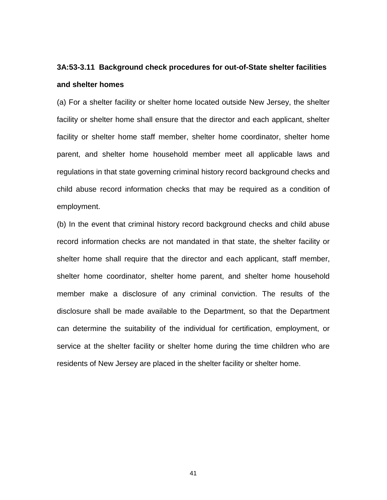## **3A:53-3.11 Background check procedures for out-of-State shelter facilities and shelter homes**

(a) For a shelter facility or shelter home located outside New Jersey, the shelter facility or shelter home shall ensure that the director and each applicant, shelter facility or shelter home staff member, shelter home coordinator, shelter home parent, and shelter home household member meet all applicable laws and regulations in that state governing criminal history record background checks and child abuse record information checks that may be required as a condition of employment.

(b) In the event that criminal history record background checks and child abuse record information checks are not mandated in that state, the shelter facility or shelter home shall require that the director and each applicant, staff member, shelter home coordinator, shelter home parent, and shelter home household member make a disclosure of any criminal conviction. The results of the disclosure shall be made available to the Department, so that the Department can determine the suitability of the individual for certification, employment, or service at the shelter facility or shelter home during the time children who are residents of New Jersey are placed in the shelter facility or shelter home.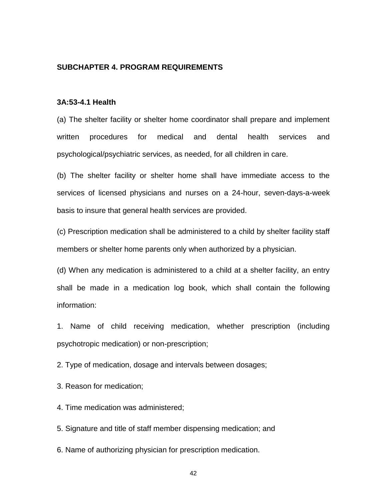## **SUBCHAPTER 4. PROGRAM REQUIREMENTS**

## **3A:53-4.1 Health**

(a) The shelter facility or shelter home coordinator shall prepare and implement written procedures for medical and dental health services and psychological/psychiatric services, as needed, for all children in care.

(b) The shelter facility or shelter home shall have immediate access to the services of licensed physicians and nurses on a 24-hour, seven-days-a-week basis to insure that general health services are provided.

(c) Prescription medication shall be administered to a child by shelter facility staff members or shelter home parents only when authorized by a physician.

(d) When any medication is administered to a child at a shelter facility, an entry shall be made in a medication log book, which shall contain the following information:

1. Name of child receiving medication, whether prescription (including psychotropic medication) or non-prescription;

2. Type of medication, dosage and intervals between dosages;

3. Reason for medication;

4. Time medication was administered;

5. Signature and title of staff member dispensing medication; and

6. Name of authorizing physician for prescription medication.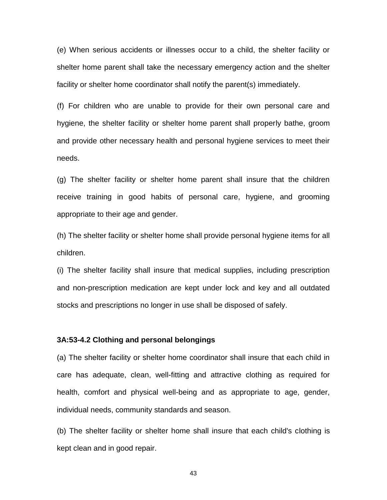(e) When serious accidents or illnesses occur to a child, the shelter facility or shelter home parent shall take the necessary emergency action and the shelter facility or shelter home coordinator shall notify the parent(s) immediately.

(f) For children who are unable to provide for their own personal care and hygiene, the shelter facility or shelter home parent shall properly bathe, groom and provide other necessary health and personal hygiene services to meet their needs.

(g) The shelter facility or shelter home parent shall insure that the children receive training in good habits of personal care, hygiene, and grooming appropriate to their age and gender.

(h) The shelter facility or shelter home shall provide personal hygiene items for all children.

(i) The shelter facility shall insure that medical supplies, including prescription and non-prescription medication are kept under lock and key and all outdated stocks and prescriptions no longer in use shall be disposed of safely.

## **3A:53-4.2 Clothing and personal belongings**

(a) The shelter facility or shelter home coordinator shall insure that each child in care has adequate, clean, well-fitting and attractive clothing as required for health, comfort and physical well-being and as appropriate to age, gender, individual needs, community standards and season.

(b) The shelter facility or shelter home shall insure that each child's clothing is kept clean and in good repair.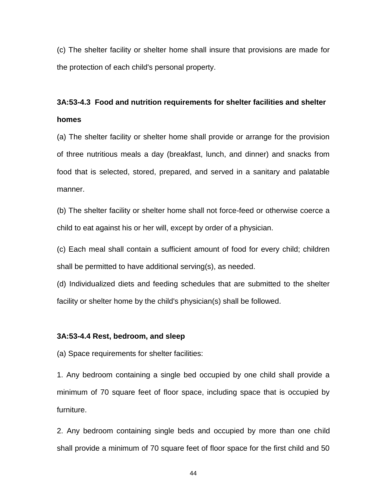(c) The shelter facility or shelter home shall insure that provisions are made for the protection of each child's personal property.

## **3A:53-4.3 Food and nutrition requirements for shelter facilities and shelter homes**

(a) The shelter facility or shelter home shall provide or arrange for the provision of three nutritious meals a day (breakfast, lunch, and dinner) and snacks from food that is selected, stored, prepared, and served in a sanitary and palatable manner.

(b) The shelter facility or shelter home shall not force-feed or otherwise coerce a child to eat against his or her will, except by order of a physician.

(c) Each meal shall contain a sufficient amount of food for every child; children shall be permitted to have additional serving(s), as needed.

(d) Individualized diets and feeding schedules that are submitted to the shelter facility or shelter home by the child's physician(s) shall be followed.

### **3A:53-4.4 Rest, bedroom, and sleep**

(a) Space requirements for shelter facilities:

1. Any bedroom containing a single bed occupied by one child shall provide a minimum of 70 square feet of floor space, including space that is occupied by furniture.

2. Any bedroom containing single beds and occupied by more than one child shall provide a minimum of 70 square feet of floor space for the first child and 50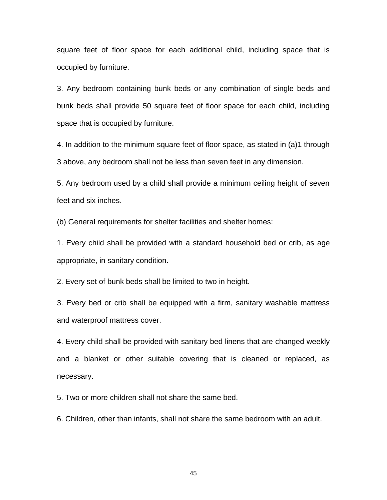square feet of floor space for each additional child, including space that is occupied by furniture.

3. Any bedroom containing bunk beds or any combination of single beds and bunk beds shall provide 50 square feet of floor space for each child, including space that is occupied by furniture.

4. In addition to the minimum square feet of floor space, as stated in (a)1 through 3 above, any bedroom shall not be less than seven feet in any dimension.

5. Any bedroom used by a child shall provide a minimum ceiling height of seven feet and six inches.

(b) General requirements for shelter facilities and shelter homes:

1. Every child shall be provided with a standard household bed or crib, as age appropriate, in sanitary condition.

2. Every set of bunk beds shall be limited to two in height.

3. Every bed or crib shall be equipped with a firm, sanitary washable mattress and waterproof mattress cover.

4. Every child shall be provided with sanitary bed linens that are changed weekly and a blanket or other suitable covering that is cleaned or replaced, as necessary.

5. Two or more children shall not share the same bed.

6. Children, other than infants, shall not share the same bedroom with an adult.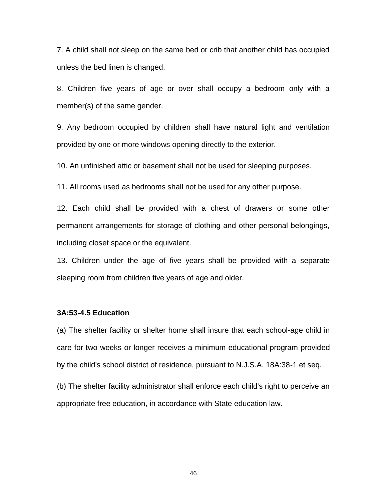7. A child shall not sleep on the same bed or crib that another child has occupied unless the bed linen is changed.

8. Children five years of age or over shall occupy a bedroom only with a member(s) of the same gender.

9. Any bedroom occupied by children shall have natural light and ventilation provided by one or more windows opening directly to the exterior.

10. An unfinished attic or basement shall not be used for sleeping purposes.

11. All rooms used as bedrooms shall not be used for any other purpose.

12. Each child shall be provided with a chest of drawers or some other permanent arrangements for storage of clothing and other personal belongings, including closet space or the equivalent.

13. Children under the age of five years shall be provided with a separate sleeping room from children five years of age and older.

### **3A:53-4.5 Education**

(a) The shelter facility or shelter home shall insure that each school-age child in care for two weeks or longer receives a minimum educational program provided by the child's school district of residence, pursuant to N.J.S.A. 18A:38-1 et seq.

(b) The shelter facility administrator shall enforce each child's right to perceive an appropriate free education, in accordance with State education law.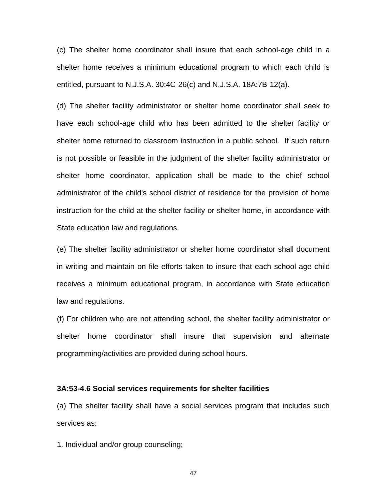(c) The shelter home coordinator shall insure that each school-age child in a shelter home receives a minimum educational program to which each child is entitled, pursuant to N.J.S.A. 30:4C-26(c) and N.J.S.A. 18A:7B-12(a).

(d) The shelter facility administrator or shelter home coordinator shall seek to have each school-age child who has been admitted to the shelter facility or shelter home returned to classroom instruction in a public school. If such return is not possible or feasible in the judgment of the shelter facility administrator or shelter home coordinator, application shall be made to the chief school administrator of the child's school district of residence for the provision of home instruction for the child at the shelter facility or shelter home, in accordance with State education law and regulations.

(e) The shelter facility administrator or shelter home coordinator shall document in writing and maintain on file efforts taken to insure that each school-age child receives a minimum educational program, in accordance with State education law and regulations.

(f) For children who are not attending school, the shelter facility administrator or shelter home coordinator shall insure that supervision and alternate programming/activities are provided during school hours.

#### **3A:53-4.6 Social services requirements for shelter facilities**

(a) The shelter facility shall have a social services program that includes such services as:

1. Individual and/or group counseling;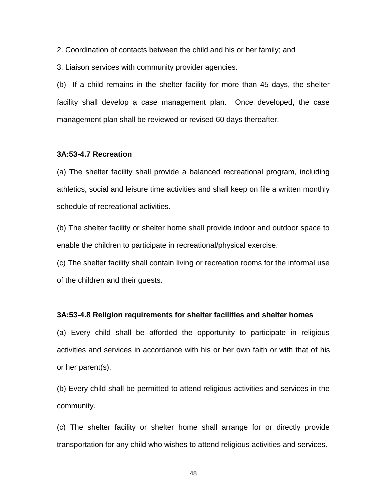2. Coordination of contacts between the child and his or her family; and

3. Liaison services with community provider agencies.

(b) If a child remains in the shelter facility for more than 45 days, the shelter facility shall develop a case management plan. Once developed, the case management plan shall be reviewed or revised 60 days thereafter.

## **3A:53-4.7 Recreation**

(a) The shelter facility shall provide a balanced recreational program, including athletics, social and leisure time activities and shall keep on file a written monthly schedule of recreational activities.

(b) The shelter facility or shelter home shall provide indoor and outdoor space to enable the children to participate in recreational/physical exercise.

(c) The shelter facility shall contain living or recreation rooms for the informal use of the children and their guests.

#### **3A:53-4.8 Religion requirements for shelter facilities and shelter homes**

(a) Every child shall be afforded the opportunity to participate in religious activities and services in accordance with his or her own faith or with that of his or her parent(s).

(b) Every child shall be permitted to attend religious activities and services in the community.

(c) The shelter facility or shelter home shall arrange for or directly provide transportation for any child who wishes to attend religious activities and services.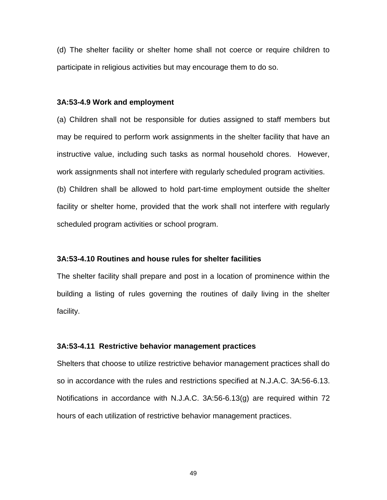(d) The shelter facility or shelter home shall not coerce or require children to participate in religious activities but may encourage them to do so.

#### **3A:53-4.9 Work and employment**

(a) Children shall not be responsible for duties assigned to staff members but may be required to perform work assignments in the shelter facility that have an instructive value, including such tasks as normal household chores. However, work assignments shall not interfere with regularly scheduled program activities.

(b) Children shall be allowed to hold part-time employment outside the shelter facility or shelter home, provided that the work shall not interfere with regularly scheduled program activities or school program.

#### **3A:53-4.10 Routines and house rules for shelter facilities**

The shelter facility shall prepare and post in a location of prominence within the building a listing of rules governing the routines of daily living in the shelter facility.

#### **3A:53-4.11 Restrictive behavior management practices**

Shelters that choose to utilize restrictive behavior management practices shall do so in accordance with the rules and restrictions specified at N.J.A.C. 3A:56-6.13. Notifications in accordance with N.J.A.C. 3A:56-6.13(g) are required within 72 hours of each utilization of restrictive behavior management practices.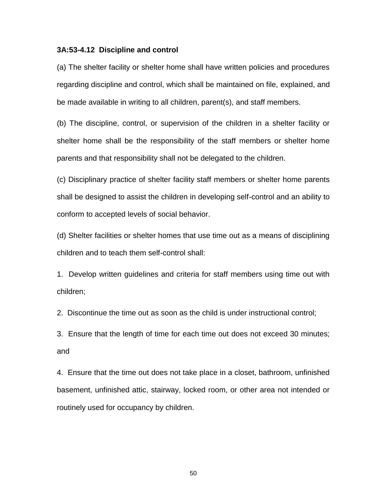#### **3A:53-4.12 Discipline and control**

(a) The shelter facility or shelter home shall have written policies and procedures regarding discipline and control, which shall be maintained on file, explained, and be made available in writing to all children, parent(s), and staff members.

(b) The discipline, control, or supervision of the children in a shelter facility or shelter home shall be the responsibility of the staff members or shelter home parents and that responsibility shall not be delegated to the children.

(c) Disciplinary practice of shelter facility staff members or shelter home parents shall be designed to assist the children in developing self-control and an ability to conform to accepted levels of social behavior.

(d) Shelter facilities or shelter homes that use time out as a means of disciplining children and to teach them self-control shall:

1. Develop written guidelines and criteria for staff members using time out with children;

2. Discontinue the time out as soon as the child is under instructional control;

3. Ensure that the length of time for each time out does not exceed 30 minutes; and

4. Ensure that the time out does not take place in a closet, bathroom, unfinished basement, unfinished attic, stairway, locked room, or other area not intended or routinely used for occupancy by children.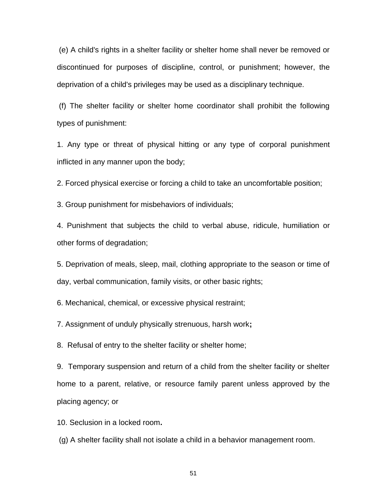(e) A child's rights in a shelter facility or shelter home shall never be removed or discontinued for purposes of discipline, control, or punishment; however, the deprivation of a child's privileges may be used as a disciplinary technique.

(f) The shelter facility or shelter home coordinator shall prohibit the following types of punishment:

1. Any type or threat of physical hitting or any type of corporal punishment inflicted in any manner upon the body;

2. Forced physical exercise or forcing a child to take an uncomfortable position;

3. Group punishment for misbehaviors of individuals;

4. Punishment that subjects the child to verbal abuse, ridicule, humiliation or other forms of degradation;

5. Deprivation of meals, sleep, mail, clothing appropriate to the season or time of day, verbal communication, family visits, or other basic rights;

6. Mechanical, chemical, or excessive physical restraint;

7. Assignment of unduly physically strenuous, harsh work**;**

8. Refusal of entry to the shelter facility or shelter home;

9. Temporary suspension and return of a child from the shelter facility or shelter home to a parent, relative, or resource family parent unless approved by the placing agency; or

10. Seclusion in a locked room**.**

(g) A shelter facility shall not isolate a child in a behavior management room.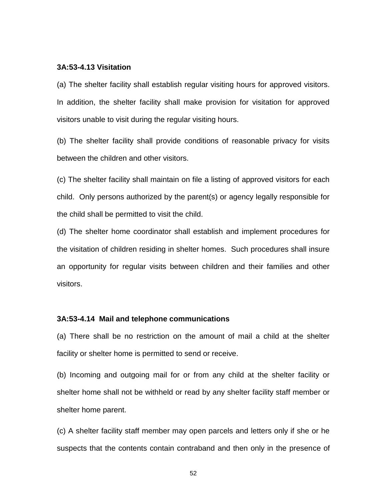## **3A:53-4.13 Visitation**

(a) The shelter facility shall establish regular visiting hours for approved visitors. In addition, the shelter facility shall make provision for visitation for approved visitors unable to visit during the regular visiting hours.

(b) The shelter facility shall provide conditions of reasonable privacy for visits between the children and other visitors.

(c) The shelter facility shall maintain on file a listing of approved visitors for each child. Only persons authorized by the parent(s) or agency legally responsible for the child shall be permitted to visit the child.

(d) The shelter home coordinator shall establish and implement procedures for the visitation of children residing in shelter homes. Such procedures shall insure an opportunity for regular visits between children and their families and other visitors.

### **3A:53-4.14 Mail and telephone communications**

(a) There shall be no restriction on the amount of mail a child at the shelter facility or shelter home is permitted to send or receive.

(b) Incoming and outgoing mail for or from any child at the shelter facility or shelter home shall not be withheld or read by any shelter facility staff member or shelter home parent.

(c) A shelter facility staff member may open parcels and letters only if she or he suspects that the contents contain contraband and then only in the presence of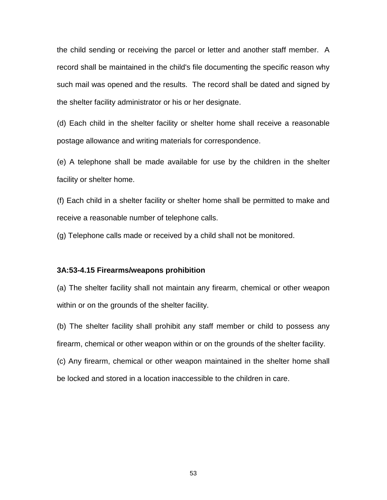the child sending or receiving the parcel or letter and another staff member. A record shall be maintained in the child's file documenting the specific reason why such mail was opened and the results. The record shall be dated and signed by the shelter facility administrator or his or her designate.

(d) Each child in the shelter facility or shelter home shall receive a reasonable postage allowance and writing materials for correspondence.

(e) A telephone shall be made available for use by the children in the shelter facility or shelter home.

(f) Each child in a shelter facility or shelter home shall be permitted to make and receive a reasonable number of telephone calls.

(g) Telephone calls made or received by a child shall not be monitored.

#### **3A:53-4.15 Firearms/weapons prohibition**

(a) The shelter facility shall not maintain any firearm, chemical or other weapon within or on the grounds of the shelter facility.

(b) The shelter facility shall prohibit any staff member or child to possess any firearm, chemical or other weapon within or on the grounds of the shelter facility. (c) Any firearm, chemical or other weapon maintained in the shelter home shall be locked and stored in a location inaccessible to the children in care.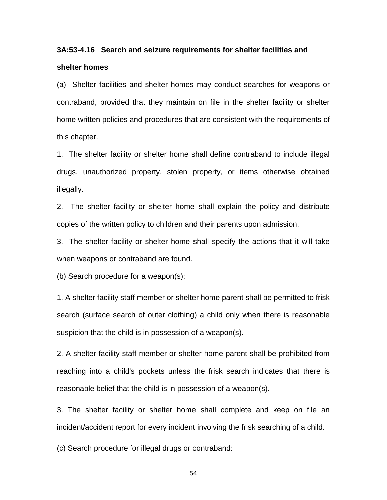# **3A:53-4.16 Search and seizure requirements for shelter facilities and shelter homes**

(a) Shelter facilities and shelter homes may conduct searches for weapons or contraband, provided that they maintain on file in the shelter facility or shelter home written policies and procedures that are consistent with the requirements of this chapter.

1. The shelter facility or shelter home shall define contraband to include illegal drugs, unauthorized property, stolen property, or items otherwise obtained illegally.

2. The shelter facility or shelter home shall explain the policy and distribute copies of the written policy to children and their parents upon admission.

3. The shelter facility or shelter home shall specify the actions that it will take when weapons or contraband are found.

(b) Search procedure for a weapon(s):

1. A shelter facility staff member or shelter home parent shall be permitted to frisk search (surface search of outer clothing) a child only when there is reasonable suspicion that the child is in possession of a weapon(s).

2. A shelter facility staff member or shelter home parent shall be prohibited from reaching into a child's pockets unless the frisk search indicates that there is reasonable belief that the child is in possession of a weapon(s).

3. The shelter facility or shelter home shall complete and keep on file an incident/accident report for every incident involving the frisk searching of a child.

(c) Search procedure for illegal drugs or contraband: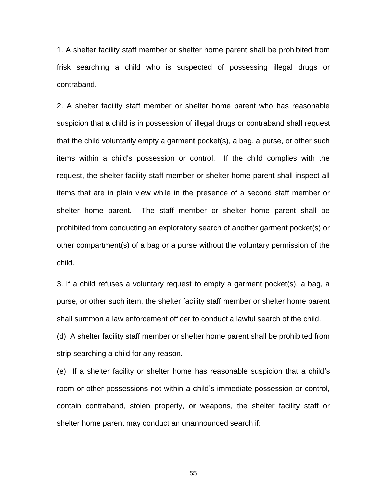1. A shelter facility staff member or shelter home parent shall be prohibited from frisk searching a child who is suspected of possessing illegal drugs or contraband.

2. A shelter facility staff member or shelter home parent who has reasonable suspicion that a child is in possession of illegal drugs or contraband shall request that the child voluntarily empty a garment pocket(s), a bag, a purse, or other such items within a child's possession or control. If the child complies with the request, the shelter facility staff member or shelter home parent shall inspect all items that are in plain view while in the presence of a second staff member or shelter home parent. The staff member or shelter home parent shall be prohibited from conducting an exploratory search of another garment pocket(s) or other compartment(s) of a bag or a purse without the voluntary permission of the child.

3. If a child refuses a voluntary request to empty a garment pocket(s), a bag, a purse, or other such item, the shelter facility staff member or shelter home parent shall summon a law enforcement officer to conduct a lawful search of the child.

(d) A shelter facility staff member or shelter home parent shall be prohibited from strip searching a child for any reason.

(e) If a shelter facility or shelter home has reasonable suspicion that a child's room or other possessions not within a child's immediate possession or control, contain contraband, stolen property, or weapons, the shelter facility staff or shelter home parent may conduct an unannounced search if: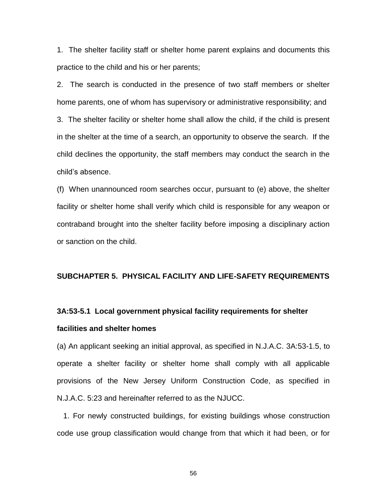1. The shelter facility staff or shelter home parent explains and documents this practice to the child and his or her parents;

2. The search is conducted in the presence of two staff members or shelter home parents, one of whom has supervisory or administrative responsibility; and 3. The shelter facility or shelter home shall allow the child, if the child is present in the shelter at the time of a search, an opportunity to observe the search. If the child declines the opportunity, the staff members may conduct the search in the child's absence.

(f) When unannounced room searches occur, pursuant to (e) above, the shelter facility or shelter home shall verify which child is responsible for any weapon or contraband brought into the shelter facility before imposing a disciplinary action or sanction on the child.

## **SUBCHAPTER 5. PHYSICAL FACILITY AND LIFE-SAFETY REQUIREMENTS**

# **3A:53-5.1 Local government physical facility requirements for shelter facilities and shelter homes**

(a) An applicant seeking an initial approval, as specified in N.J.A.C. 3A:53-1.5, to operate a shelter facility or shelter home shall comply with all applicable provisions of the New Jersey Uniform Construction Code, as specified in N.J.A.C. 5:23 and hereinafter referred to as the NJUCC.

 1. For newly constructed buildings, for existing buildings whose construction code use group classification would change from that which it had been, or for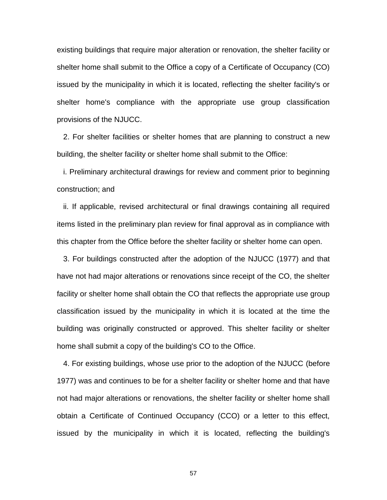existing buildings that require major alteration or renovation, the shelter facility or shelter home shall submit to the Office a copy of a Certificate of Occupancy (CO) issued by the municipality in which it is located, reflecting the shelter facility's or shelter home's compliance with the appropriate use group classification provisions of the NJUCC.

 2. For shelter facilities or shelter homes that are planning to construct a new building, the shelter facility or shelter home shall submit to the Office:

 i. Preliminary architectural drawings for review and comment prior to beginning construction; and

 ii. If applicable, revised architectural or final drawings containing all required items listed in the preliminary plan review for final approval as in compliance with this chapter from the Office before the shelter facility or shelter home can open.

 3. For buildings constructed after the adoption of the NJUCC (1977) and that have not had major alterations or renovations since receipt of the CO, the shelter facility or shelter home shall obtain the CO that reflects the appropriate use group classification issued by the municipality in which it is located at the time the building was originally constructed or approved. This shelter facility or shelter home shall submit a copy of the building's CO to the Office.

 4. For existing buildings, whose use prior to the adoption of the NJUCC (before 1977) was and continues to be for a shelter facility or shelter home and that have not had major alterations or renovations, the shelter facility or shelter home shall obtain a Certificate of Continued Occupancy (CCO) or a letter to this effect, issued by the municipality in which it is located, reflecting the building's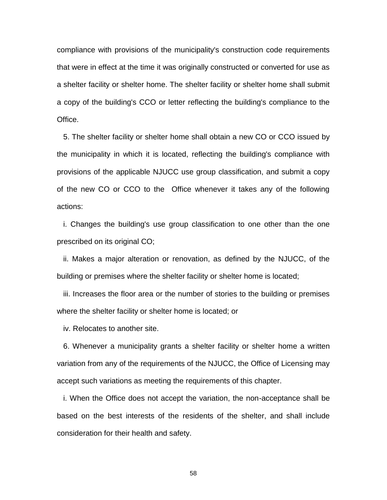compliance with provisions of the municipality's construction code requirements that were in effect at the time it was originally constructed or converted for use as a shelter facility or shelter home. The shelter facility or shelter home shall submit a copy of the building's CCO or letter reflecting the building's compliance to the Office.

 5. The shelter facility or shelter home shall obtain a new CO or CCO issued by the municipality in which it is located, reflecting the building's compliance with provisions of the applicable NJUCC use group classification, and submit a copy of the new CO or CCO to the Office whenever it takes any of the following actions:

 i. Changes the building's use group classification to one other than the one prescribed on its original CO;

 ii. Makes a major alteration or renovation, as defined by the NJUCC, of the building or premises where the shelter facility or shelter home is located;

 iii. Increases the floor area or the number of stories to the building or premises where the shelter facility or shelter home is located; or

iv. Relocates to another site.

 6. Whenever a municipality grants a shelter facility or shelter home a written variation from any of the requirements of the NJUCC, the Office of Licensing may accept such variations as meeting the requirements of this chapter.

 i. When the Office does not accept the variation, the non-acceptance shall be based on the best interests of the residents of the shelter, and shall include consideration for their health and safety.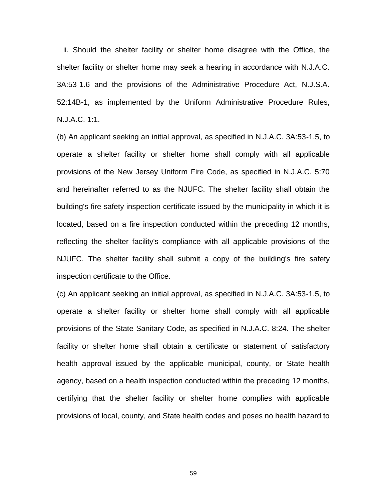ii. Should the shelter facility or shelter home disagree with the Office, the shelter facility or shelter home may seek a hearing in accordance with N.J.A.C. 3A:53-1.6 and the provisions of the Administrative Procedure Act, N.J.S.A. 52:14B-1, as implemented by the Uniform Administrative Procedure Rules, N.J.A.C. 1:1.

(b) An applicant seeking an initial approval, as specified in N.J.A.C. 3A:53-1.5, to operate a shelter facility or shelter home shall comply with all applicable provisions of the New Jersey Uniform Fire Code, as specified in N.J.A.C. 5:70 and hereinafter referred to as the NJUFC. The shelter facility shall obtain the building's fire safety inspection certificate issued by the municipality in which it is located, based on a fire inspection conducted within the preceding 12 months, reflecting the shelter facility's compliance with all applicable provisions of the NJUFC. The shelter facility shall submit a copy of the building's fire safety inspection certificate to the Office.

(c) An applicant seeking an initial approval, as specified in N.J.A.C. 3A:53-1.5, to operate a shelter facility or shelter home shall comply with all applicable provisions of the State Sanitary Code, as specified in N.J.A.C. 8:24. The shelter facility or shelter home shall obtain a certificate or statement of satisfactory health approval issued by the applicable municipal, county, or State health agency, based on a health inspection conducted within the preceding 12 months, certifying that the shelter facility or shelter home complies with applicable provisions of local, county, and State health codes and poses no health hazard to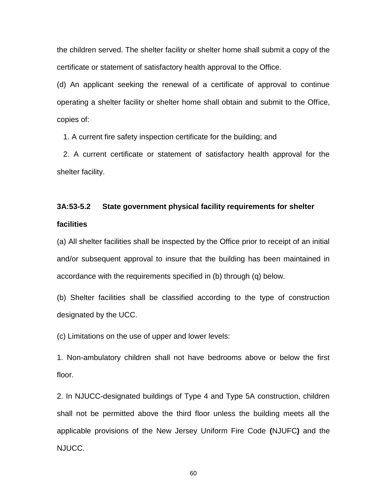the children served. The shelter facility or shelter home shall submit a copy of the certificate or statement of satisfactory health approval to the Office.

(d) An applicant seeking the renewal of a certificate of approval to continue operating a shelter facility or shelter home shall obtain and submit to the Office, copies of:

1. A current fire safety inspection certificate for the building; and

 2. A current certificate or statement of satisfactory health approval for the shelter facility.

# **3A:53-5.2 State government physical facility requirements for shelter facilities**

(a) All shelter facilities shall be inspected by the Office prior to receipt of an initial and/or subsequent approval to insure that the building has been maintained in accordance with the requirements specified in (b) through (q) below.

(b) Shelter facilities shall be classified according to the type of construction designated by the UCC.

(c) Limitations on the use of upper and lower levels:

1. Non-ambulatory children shall not have bedrooms above or below the first floor.

2. In NJUCC-designated buildings of Type 4 and Type 5A construction, children shall not be permitted above the third floor unless the building meets all the applicable provisions of the New Jersey Uniform Fire Code **(**NJUFC**)** and the NJUCC.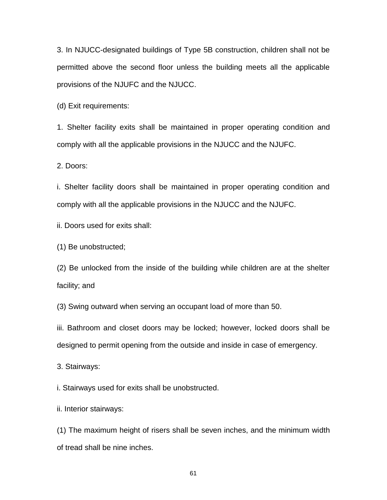3. In NJUCC-designated buildings of Type 5B construction, children shall not be permitted above the second floor unless the building meets all the applicable provisions of the NJUFC and the NJUCC.

(d) Exit requirements:

1. Shelter facility exits shall be maintained in proper operating condition and comply with all the applicable provisions in the NJUCC and the NJUFC.

2. Doors:

i. Shelter facility doors shall be maintained in proper operating condition and comply with all the applicable provisions in the NJUCC and the NJUFC.

ii. Doors used for exits shall:

(1) Be unobstructed;

(2) Be unlocked from the inside of the building while children are at the shelter facility; and

(3) Swing outward when serving an occupant load of more than 50.

iii. Bathroom and closet doors may be locked; however, locked doors shall be designed to permit opening from the outside and inside in case of emergency.

3. Stairways:

i. Stairways used for exits shall be unobstructed.

ii. Interior stairways:

(1) The maximum height of risers shall be seven inches, and the minimum width of tread shall be nine inches.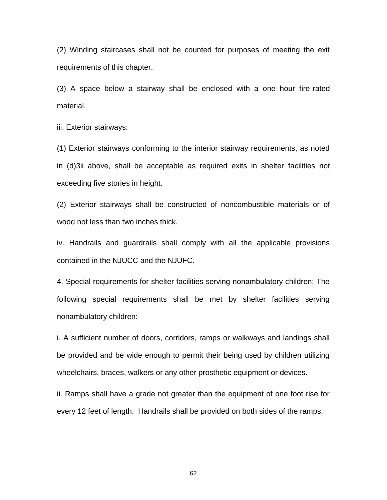(2) Winding staircases shall not be counted for purposes of meeting the exit requirements of this chapter.

(3) A space below a stairway shall be enclosed with a one hour fire-rated material.

iii. Exterior stairways:

(1) Exterior stairways conforming to the interior stairway requirements, as noted in (d)3ii above, shall be acceptable as required exits in shelter facilities not exceeding five stories in height.

(2) Exterior stairways shall be constructed of noncombustible materials or of wood not less than two inches thick.

iv. Handrails and guardrails shall comply with all the applicable provisions contained in the NJUCC and the NJUFC.

4. Special requirements for shelter facilities serving nonambulatory children: The following special requirements shall be met by shelter facilities serving nonambulatory children:

i. A sufficient number of doors, corridors, ramps or walkways and landings shall be provided and be wide enough to permit their being used by children utilizing wheelchairs, braces, walkers or any other prosthetic equipment or devices.

ii. Ramps shall have a grade not greater than the equipment of one foot rise for every 12 feet of length. Handrails shall be provided on both sides of the ramps.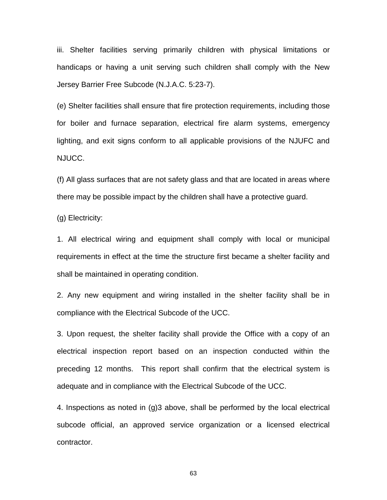iii. Shelter facilities serving primarily children with physical limitations or handicaps or having a unit serving such children shall comply with the New Jersey Barrier Free Subcode (N.J.A.C. 5:23-7).

(e) Shelter facilities shall ensure that fire protection requirements, including those for boiler and furnace separation, electrical fire alarm systems, emergency lighting, and exit signs conform to all applicable provisions of the NJUFC and NJUCC.

(f) All glass surfaces that are not safety glass and that are located in areas where there may be possible impact by the children shall have a protective guard.

(g) Electricity:

1. All electrical wiring and equipment shall comply with local or municipal requirements in effect at the time the structure first became a shelter facility and shall be maintained in operating condition.

2. Any new equipment and wiring installed in the shelter facility shall be in compliance with the Electrical Subcode of the UCC.

3. Upon request, the shelter facility shall provide the Office with a copy of an electrical inspection report based on an inspection conducted within the preceding 12 months. This report shall confirm that the electrical system is adequate and in compliance with the Electrical Subcode of the UCC.

4. Inspections as noted in (g)3 above, shall be performed by the local electrical subcode official, an approved service organization or a licensed electrical contractor.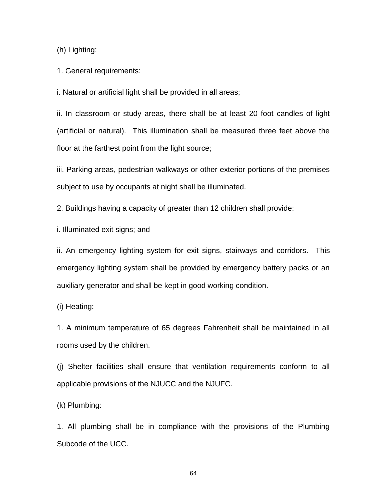(h) Lighting:

1. General requirements:

i. Natural or artificial light shall be provided in all areas;

ii. In classroom or study areas, there shall be at least 20 foot candles of light (artificial or natural). This illumination shall be measured three feet above the floor at the farthest point from the light source;

iii. Parking areas, pedestrian walkways or other exterior portions of the premises subject to use by occupants at night shall be illuminated.

2. Buildings having a capacity of greater than 12 children shall provide:

i. Illuminated exit signs; and

ii. An emergency lighting system for exit signs, stairways and corridors. This emergency lighting system shall be provided by emergency battery packs or an auxiliary generator and shall be kept in good working condition.

(i) Heating:

1. A minimum temperature of 65 degrees Fahrenheit shall be maintained in all rooms used by the children.

(j) Shelter facilities shall ensure that ventilation requirements conform to all applicable provisions of the NJUCC and the NJUFC.

(k) Plumbing:

1. All plumbing shall be in compliance with the provisions of the Plumbing Subcode of the UCC.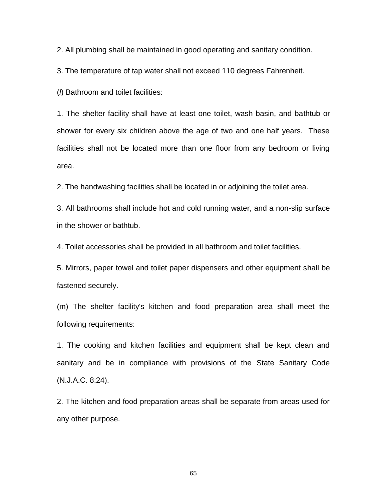2. All plumbing shall be maintained in good operating and sanitary condition.

3. The temperature of tap water shall not exceed 110 degrees Fahrenheit.

(*l*) Bathroom and toilet facilities:

1. The shelter facility shall have at least one toilet, wash basin, and bathtub or shower for every six children above the age of two and one half years. These facilities shall not be located more than one floor from any bedroom or living area.

2. The handwashing facilities shall be located in or adjoining the toilet area.

3. All bathrooms shall include hot and cold running water, and a non-slip surface in the shower or bathtub.

4. Toilet accessories shall be provided in all bathroom and toilet facilities.

5. Mirrors, paper towel and toilet paper dispensers and other equipment shall be fastened securely.

(m) The shelter facility's kitchen and food preparation area shall meet the following requirements:

1. The cooking and kitchen facilities and equipment shall be kept clean and sanitary and be in compliance with provisions of the State Sanitary Code (N.J.A.C. 8:24).

2. The kitchen and food preparation areas shall be separate from areas used for any other purpose.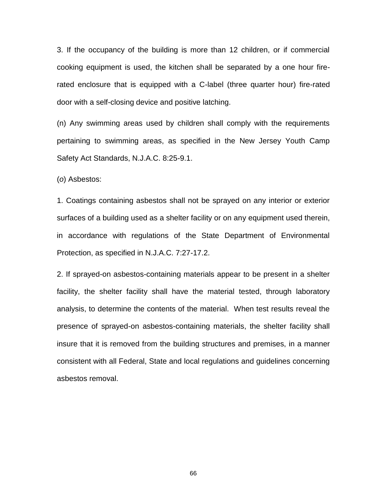3. If the occupancy of the building is more than 12 children, or if commercial cooking equipment is used, the kitchen shall be separated by a one hour firerated enclosure that is equipped with a C-label (three quarter hour) fire-rated door with a self-closing device and positive latching.

(n) Any swimming areas used by children shall comply with the requirements pertaining to swimming areas, as specified in the New Jersey Youth Camp Safety Act Standards, N.J.A.C. 8:25-9.1.

(*o*) Asbestos:

1. Coatings containing asbestos shall not be sprayed on any interior or exterior surfaces of a building used as a shelter facility or on any equipment used therein, in accordance with regulations of the State Department of Environmental Protection, as specified in N.J.A.C. 7:27-17.2.

2. If sprayed-on asbestos-containing materials appear to be present in a shelter facility, the shelter facility shall have the material tested, through laboratory analysis, to determine the contents of the material. When test results reveal the presence of sprayed-on asbestos-containing materials, the shelter facility shall insure that it is removed from the building structures and premises, in a manner consistent with all Federal, State and local regulations and guidelines concerning asbestos removal.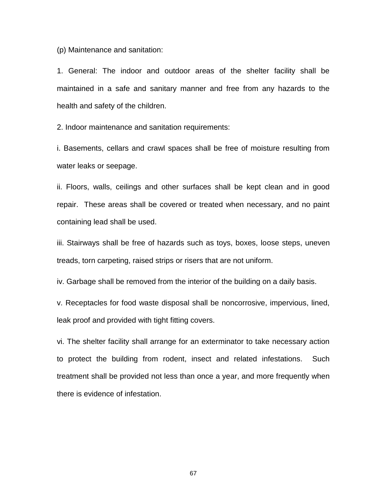(p) Maintenance and sanitation:

1. General: The indoor and outdoor areas of the shelter facility shall be maintained in a safe and sanitary manner and free from any hazards to the health and safety of the children.

2. Indoor maintenance and sanitation requirements:

i. Basements, cellars and crawl spaces shall be free of moisture resulting from water leaks or seepage.

ii. Floors, walls, ceilings and other surfaces shall be kept clean and in good repair. These areas shall be covered or treated when necessary, and no paint containing lead shall be used.

iii. Stairways shall be free of hazards such as toys, boxes, loose steps, uneven treads, torn carpeting, raised strips or risers that are not uniform.

iv. Garbage shall be removed from the interior of the building on a daily basis.

v. Receptacles for food waste disposal shall be noncorrosive, impervious, lined, leak proof and provided with tight fitting covers.

vi. The shelter facility shall arrange for an exterminator to take necessary action to protect the building from rodent, insect and related infestations. Such treatment shall be provided not less than once a year, and more frequently when there is evidence of infestation.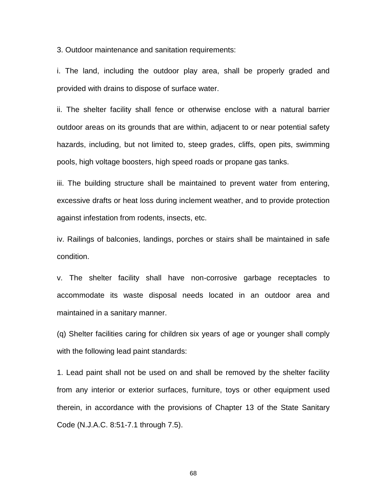3. Outdoor maintenance and sanitation requirements:

i. The land, including the outdoor play area, shall be properly graded and provided with drains to dispose of surface water.

ii. The shelter facility shall fence or otherwise enclose with a natural barrier outdoor areas on its grounds that are within, adjacent to or near potential safety hazards, including, but not limited to, steep grades, cliffs, open pits, swimming pools, high voltage boosters, high speed roads or propane gas tanks.

iii. The building structure shall be maintained to prevent water from entering, excessive drafts or heat loss during inclement weather, and to provide protection against infestation from rodents, insects, etc.

iv. Railings of balconies, landings, porches or stairs shall be maintained in safe condition.

v. The shelter facility shall have non-corrosive garbage receptacles to accommodate its waste disposal needs located in an outdoor area and maintained in a sanitary manner.

(q) Shelter facilities caring for children six years of age or younger shall comply with the following lead paint standards:

1. Lead paint shall not be used on and shall be removed by the shelter facility from any interior or exterior surfaces, furniture, toys or other equipment used therein, in accordance with the provisions of Chapter 13 of the State Sanitary Code (N.J.A.C. 8:51-7.1 through 7.5).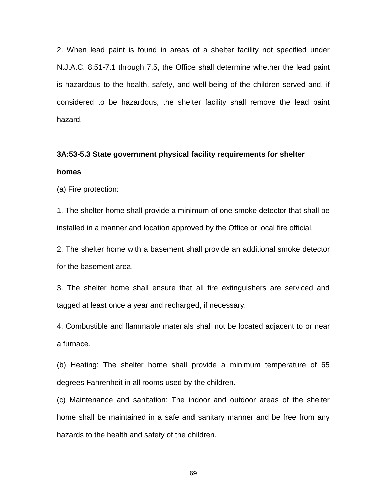2. When lead paint is found in areas of a shelter facility not specified under N.J.A.C. 8:51-7.1 through 7.5, the Office shall determine whether the lead paint is hazardous to the health, safety, and well-being of the children served and, if considered to be hazardous, the shelter facility shall remove the lead paint hazard.

# **3A:53-5.3 State government physical facility requirements for shelter homes**

(a) Fire protection:

1. The shelter home shall provide a minimum of one smoke detector that shall be installed in a manner and location approved by the Office or local fire official.

2. The shelter home with a basement shall provide an additional smoke detector for the basement area.

3. The shelter home shall ensure that all fire extinguishers are serviced and tagged at least once a year and recharged, if necessary.

4. Combustible and flammable materials shall not be located adjacent to or near a furnace.

(b) Heating: The shelter home shall provide a minimum temperature of 65 degrees Fahrenheit in all rooms used by the children.

(c) Maintenance and sanitation: The indoor and outdoor areas of the shelter home shall be maintained in a safe and sanitary manner and be free from any hazards to the health and safety of the children.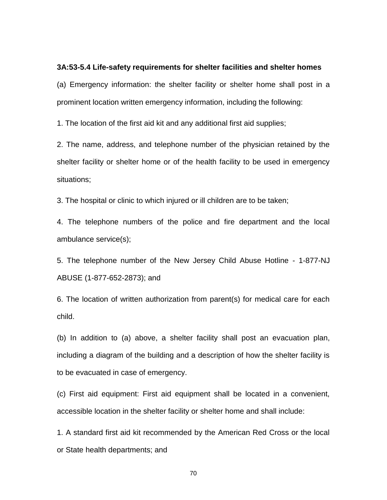#### **3A:53-5.4 Life-safety requirements for shelter facilities and shelter homes**

(a) Emergency information: the shelter facility or shelter home shall post in a prominent location written emergency information, including the following:

1. The location of the first aid kit and any additional first aid supplies;

2. The name, address, and telephone number of the physician retained by the shelter facility or shelter home or of the health facility to be used in emergency situations;

3. The hospital or clinic to which injured or ill children are to be taken;

4. The telephone numbers of the police and fire department and the local ambulance service(s);

5. The telephone number of the New Jersey Child Abuse Hotline - 1-877-NJ ABUSE (1-877-652-2873); and

6. The location of written authorization from parent(s) for medical care for each child.

(b) In addition to (a) above, a shelter facility shall post an evacuation plan, including a diagram of the building and a description of how the shelter facility is to be evacuated in case of emergency.

(c) First aid equipment: First aid equipment shall be located in a convenient, accessible location in the shelter facility or shelter home and shall include:

1. A standard first aid kit recommended by the American Red Cross or the local or State health departments; and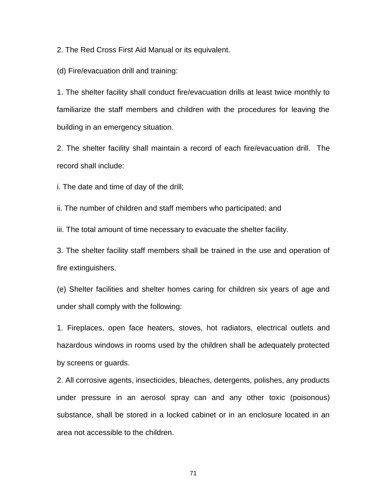2. The Red Cross First Aid Manual or its equivalent.

(d) Fire/evacuation drill and training:

1. The shelter facility shall conduct fire/evacuation drills at least twice monthly to familiarize the staff members and children with the procedures for leaving the building in an emergency situation.

2. The shelter facility shall maintain a record of each fire/evacuation drill. The record shall include:

i. The date and time of day of the drill;

ii. The number of children and staff members who participated; and

iii. The total amount of time necessary to evacuate the shelter facility.

3. The shelter facility staff members shall be trained in the use and operation of fire extinguishers.

(e) Shelter facilities and shelter homes caring for children six years of age and under shall comply with the following:

1. Fireplaces, open face heaters, stoves, hot radiators, electrical outlets and hazardous windows in rooms used by the children shall be adequately protected by screens or guards.

2. All corrosive agents, insecticides, bleaches, detergents, polishes, any products under pressure in an aerosol spray can and any other toxic (poisonous) substance, shall be stored in a locked cabinet or in an enclosure located in an area not accessible to the children.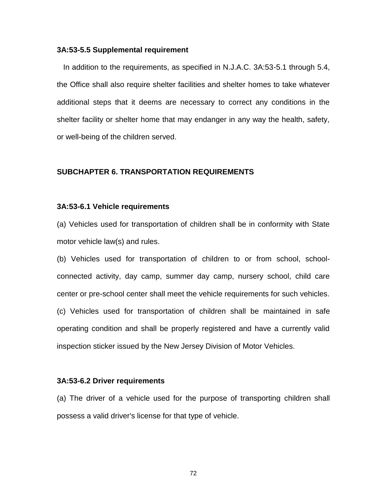#### **3A:53-5.5 Supplemental requirement**

 In addition to the requirements, as specified in N.J.A.C. 3A:53-5.1 through 5.4, the Office shall also require shelter facilities and shelter homes to take whatever additional steps that it deems are necessary to correct any conditions in the shelter facility or shelter home that may endanger in any way the health, safety, or well-being of the children served.

## **SUBCHAPTER 6. TRANSPORTATION REQUIREMENTS**

#### **3A:53-6.1 Vehicle requirements**

(a) Vehicles used for transportation of children shall be in conformity with State motor vehicle law(s) and rules.

(b) Vehicles used for transportation of children to or from school, schoolconnected activity, day camp, summer day camp, nursery school, child care center or pre-school center shall meet the vehicle requirements for such vehicles. (c) Vehicles used for transportation of children shall be maintained in safe operating condition and shall be properly registered and have a currently valid inspection sticker issued by the New Jersey Division of Motor Vehicles.

#### **3A:53-6.2 Driver requirements**

(a) The driver of a vehicle used for the purpose of transporting children shall possess a valid driver's license for that type of vehicle.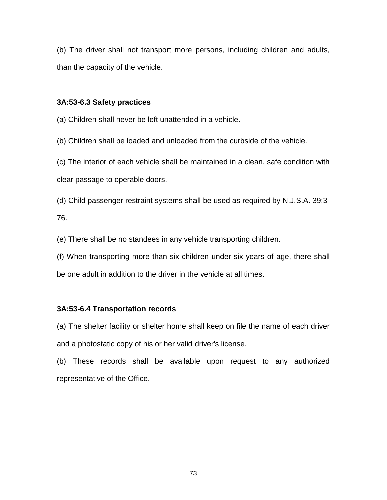(b) The driver shall not transport more persons, including children and adults, than the capacity of the vehicle.

# **3A:53-6.3 Safety practices**

(a) Children shall never be left unattended in a vehicle.

(b) Children shall be loaded and unloaded from the curbside of the vehicle.

(c) The interior of each vehicle shall be maintained in a clean, safe condition with clear passage to operable doors.

(d) Child passenger restraint systems shall be used as required by N.J.S.A. 39:3- 76.

(e) There shall be no standees in any vehicle transporting children.

(f) When transporting more than six children under six years of age, there shall be one adult in addition to the driver in the vehicle at all times.

# **3A:53-6.4 Transportation records**

(a) The shelter facility or shelter home shall keep on file the name of each driver and a photostatic copy of his or her valid driver's license.

(b) These records shall be available upon request to any authorized representative of the Office.